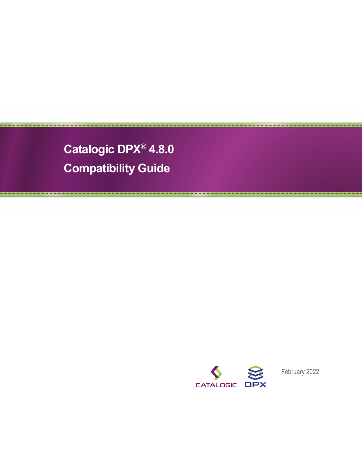**Catalogic DPX**® **4.8.0 Compatibility Guide**



February 2022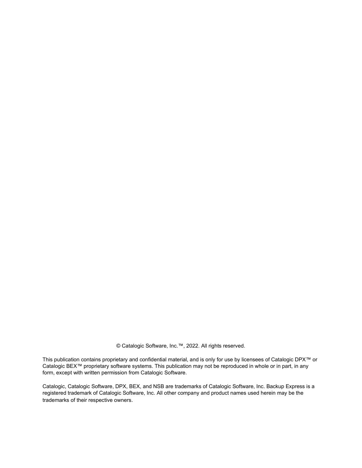© Catalogic Software, Inc.™, 2022. All rights reserved.

This publication contains proprietary and confidential material, and is only for use by licensees of Catalogic DPX™ or Catalogic BEX™ proprietary software systems. This publication may not be reproduced in whole or in part, in any form, except with written permission from Catalogic Software.

Catalogic, Catalogic Software, DPX, BEX, and NSB are trademarks of Catalogic Software, Inc. Backup Express is a registered trademark of Catalogic Software, Inc. All other company and product names used herein may be the trademarks of their respective owners.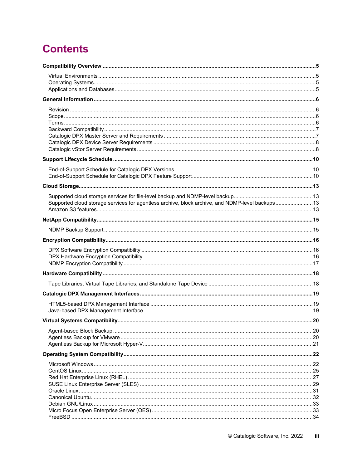# **Contents**

| Supported cloud storage services for agentless archive, block archive, and NDMP-level backups13 |  |
|-------------------------------------------------------------------------------------------------|--|
|                                                                                                 |  |
|                                                                                                 |  |
|                                                                                                 |  |
|                                                                                                 |  |
|                                                                                                 |  |
|                                                                                                 |  |
|                                                                                                 |  |
|                                                                                                 |  |
|                                                                                                 |  |
|                                                                                                 |  |
|                                                                                                 |  |
|                                                                                                 |  |
|                                                                                                 |  |
|                                                                                                 |  |
|                                                                                                 |  |
|                                                                                                 |  |
|                                                                                                 |  |
|                                                                                                 |  |
|                                                                                                 |  |
|                                                                                                 |  |
|                                                                                                 |  |
|                                                                                                 |  |
|                                                                                                 |  |
|                                                                                                 |  |
|                                                                                                 |  |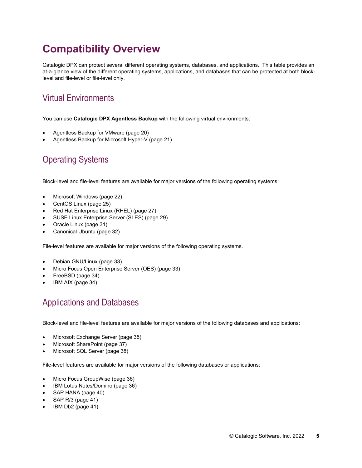# <span id="page-4-0"></span>**Compatibility Overview**

Catalogic DPX can protect several different operating systems, databases, and applications. This table provides an at-a-glance view of the different operating systems, applications, and databases that can be protected at both blocklevel and file-level or file-level only.

# <span id="page-4-1"></span>Virtual Environments

You can use **Catalogic DPX Agentless Backup** with the following virtual environments:

- [Agentless Backup for VMware](#page-19-2) (pag[e 20\)](#page-19-2)
- [Agentless Backup for Microsoft Hyper-V](#page-20-0) (pag[e 21\)](#page-20-0)

# <span id="page-4-2"></span>Operating Systems

Block-level and file-level features are available for major versions of the following operating systems:

- [Microsoft Windows](#page-21-1) (pag[e 22\)](#page-21-1)
- [CentOS Linux](#page-24-0) (page [25\)](#page-24-0)
- [Red Hat Enterprise Linux \(RHEL\)](#page-26-0) (page [27\)](#page-26-0)
- [SUSE Linux Enterprise Server \(SLES\)](#page-28-0) (pag[e 29\)](#page-28-0)
- [Oracle Linux](#page-30-0) (pag[e 31\)](#page-30-0)
- [Canonical Ubuntu](#page-31-0) (pag[e 32\)](#page-31-0)

File-level features are available for major versions of the following operating systems.

- [Debian GNU/Linux](#page-32-0) (page [33\)](#page-32-0)
- [Micro Focus Open Enterprise Server \(OES\)](#page-32-1) (pag[e 33\)](#page-32-1)
- [FreeBSD](#page-33-0) (page [34\)](#page-33-0)
- [IBM AIX](#page-33-1) (page [34\)](#page-33-1)

## <span id="page-4-3"></span>Applications and Databases

Block-level and file-level features are available for major versions of the following databases and applications:

- [Microsoft Exchange Server](#page-34-1) (page [35\)](#page-34-1)
- [Microsoft SharePoint](#page-36-0) (pag[e 37\)](#page-36-0)
- [Microsoft SQL Server](#page-37-0) (page [38\)](#page-37-0)

File-level features are available for major versions of the following databases or applications:

- [Micro Focus GroupWise](#page-35-0) (pag[e 36\)](#page-35-0)
- [IBM Lotus Notes/Domino](#page-35-1) (page [36\)](#page-35-1)
- [SAP HANA](#page-39-0) (pag[e 40\)](#page-39-0)
- [SAP R/3](#page-40-0) (pag[e 41\)](#page-40-0)
- [IBM Db2](#page-40-1) (page [41\)](#page-40-1)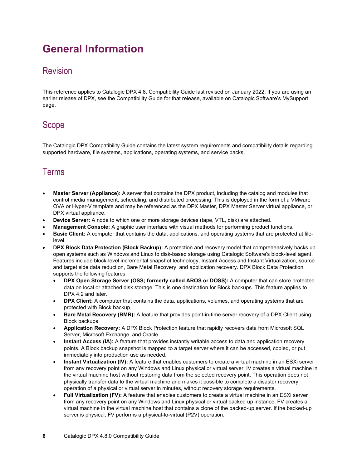# <span id="page-5-0"></span>**General Information**

### <span id="page-5-1"></span>Revision

This reference applies to Catalogic DPX 4.8. Compatibility Guide last revised on January 2022. If you are using an earlier release of DPX, see the Compatibility Guide for that release, available on Catalogic Software's MySupport page.

### <span id="page-5-2"></span>Scope

The Catalogic DPX Compatibility Guide contains the latest system requirements and compatibility details regarding supported hardware, file systems, applications, operating systems, and service packs.

### <span id="page-5-3"></span>Terms

- **Master Server (Appliance):** A server that contains the DPX product, including the catalog and modules that control media management, scheduling, and distributed processing. This is deployed in the form of a VMware OVA or Hyper-V template and may be referenced as the DPX Master, DPX Master Server virtual appliance, or DPX virtual appliance.
- **Device Server:** A node to which one or more storage devices (tape, VTL, disk) are attached.
- **Management Console:** A graphic user interface with visual methods for performing product functions.
- **Basic Client:** A computer that contains the data, applications, and operating systems that are protected at filelevel.
- **DPX Block Data Protection (Block Backup):** A protection and recovery model that comprehensively backs up open systems such as Windows and Linux to disk-based storage using Catalogic Software's block-level agent. Features include block-level incremental snapshot technology, Instant Access and Instant Virtualization, source and target side data reduction, Bare Metal Recovery, and application recovery. DPX Block Data Protection supports the following features:
	- **DPX Open Storage Server (OSS; formerly called AROS or DOSS):** A computer that can store protected data on local or attached disk storage. This is one destination for Block backups. This feature applies to DPX 4.2 and later.
	- **DPX Client:** A computer that contains the data, applications, volumes, and operating systems that are protected with Block backup.
	- **Bare Metal Recovery (BMR):** A feature that provides point-in-time server recovery of a DPX Client using Block backups.
	- **Application Recovery:** A DPX Block Protection feature that rapidly recovers data from Microsoft SQL Server, Microsoft Exchange, and Oracle.
	- **Instant Access (IA):** A feature that provides instantly writable access to data and application recovery points. A Block backup snapshot is mapped to a target server where it can be accessed, copied, or put immediately into production use as needed.
	- **Instant Virtualization (IV):** A feature that enables customers to create a virtual machine in an ESXi server from any recovery point on any Windows and Linux physical or virtual server. IV creates a virtual machine in the virtual machine host without restoring data from the selected recovery point. This operation does not physically transfer data to the virtual machine and makes it possible to complete a disaster recovery operation of a physical or virtual server in minutes, without recovery storage requirements.
	- **Full Virtualization (FV):** A feature that enables customers to create a virtual machine in an ESXi server from any recovery point on any Windows and Linux physical or virtual backed up instance. FV creates a virtual machine in the virtual machine host that contains a clone of the backed-up server. If the backed-up server is physical, FV performs a physical-to-virtual (P2V) operation.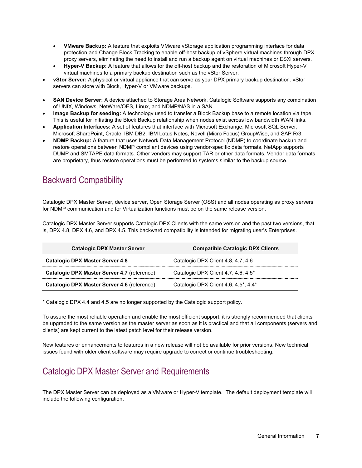- **VMware Backup:** A feature that exploits VMware vStorage application programming interface for data protection and Change Block Tracking to enable off-host backup of vSphere virtual machines through DPX proxy servers, eliminating the need to install and run a backup agent on virtual machines or ESXi servers.
- **Hyper-V Backup:** A feature that allows for the off-host backup and the restoration of Microsoft Hyper-V virtual machines to a primary backup destination such as the vStor Server.
- **vStor Server:** A physical or virtual appliance that can serve as your DPX primary backup destination. vStor servers can store with Block, Hyper-V or VMware backups.
- **SAN Device Server:** A device attached to Storage Area Network. Catalogic Software supports any combination of UNIX, Windows, NetWare/OES, Linux, and NDMP/NAS in a SAN.
- **Image Backup for seeding:** A technology used to transfer a Block Backup base to a remote location via tape. This is useful for initiating the Block Backup relationship when nodes exist across low bandwidth WAN links.
- **Application Interfaces:** A set of features that interface with Microsoft Exchange, Microsoft SQL Server, Microsoft SharePoint, Oracle, IBM DB2, IBM Lotus Notes, Novell (Micro Focus) GroupWise, and SAP R/3.
- **NDMP Backup:** A feature that uses Network Data Management Protocol (NDMP) to coordinate backup and restore operations between NDMP compliant devices using vendor-specific data formats. NetApp supports DUMP and SMTAPE data formats. Other vendors may support TAR or other data formats. Vendor data formats are proprietary, thus restore operations must be performed to systems similar to the backup source.

## <span id="page-6-0"></span>Backward Compatibility

Catalogic DPX Master Server, device server, Open Storage Server (OSS) and all nodes operating as proxy servers for NDMP communication and for Virtualization functions must be on the same release version.

Catalogic DPX Master Server supports Catalogic DPX Clients with the same version and the past two versions, that is, DPX 4.8, DPX 4.6, and DPX 4.5. This backward compatibility is intended for migrating user's Enterprises.

| <b>Catalogic DPX Master Server</b>          | <b>Compatible Catalogic DPX Clients</b>     |
|---------------------------------------------|---------------------------------------------|
| <b>Catalogic DPX Master Server 4.8</b>      | Catalogic DPX Client 4.8, 4.7, 4.6          |
| Catalogic DPX Master Server 4.7 (reference) | Catalogic DPX Client 4.7, 4.6, 4.5*         |
| Catalogic DPX Master Server 4.6 (reference) | Catalogic DPX Client 4.6, $4.5^*$ , $4.4^*$ |

\* Catalogic DPX 4.4 and 4.5 are no longer supported by the Catalogic support policy.

To assure the most reliable operation and enable the most efficient support, it is strongly recommended that clients be upgraded to the same version as the master server as soon as it is practical and that all components (servers and clients) are kept current to the latest patch level for their release version.

New features or enhancements to features in a new release will not be available for prior versions. New technical issues found with older client software may require upgrade to correct or continue troubleshooting.

## <span id="page-6-1"></span>Catalogic DPX Master Server and Requirements

The DPX Master Server can be deployed as a VMware or Hyper-V template. The default deployment template will include the following configuration.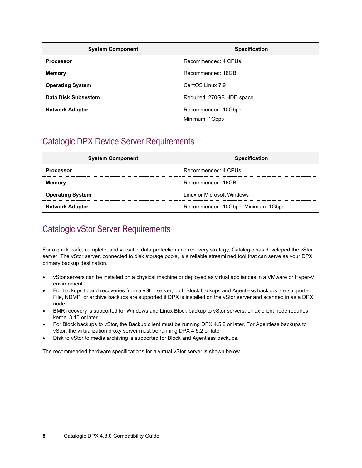| <b>System Component</b> | <b>Specification</b>      |
|-------------------------|---------------------------|
| <b>Processor</b>        | Recommended: 4 CPUs       |
| <b>Memory</b>           | Recommended: 16GB         |
| <b>Operating System</b> | CentOS Linux 7.9          |
| Data Disk Subsystem     | Required: 270GB HDD space |
| <b>Network Adapter</b>  | Recommended: 10Gbps       |
|                         | Minimum: 1Gbps            |

### <span id="page-7-0"></span>Catalogic DPX Device Server Requirements

| <b>System Component</b> | <b>Specification</b>                |
|-------------------------|-------------------------------------|
| <b>Processor</b>        | Recommended: 4 CPUs                 |
| <b>Memory</b>           | Recommended: 16GB                   |
| <b>Operating System</b> | Linux or Microsoft Windows          |
| <b>Network Adapter</b>  | Recommended: 10Gbps, Minimum: 1Gbps |

## <span id="page-7-1"></span>Catalogic vStor Server Requirements

For a quick, safe, complete, and versatile data protection and recovery strategy, Catalogic has developed the vStor server. The vStor server, connected to disk storage pools, is a reliable streamlined tool that can serve as your DPX primary backup destination.

- vStor servers can be installed on a physical machine or deployed as virtual appliances in a VMware or Hyper-V environment.
- For backups to and recoveries from a vStor server, both Block backups and Agentless backups are supported. File, NDMP, or archive backups are supported if DPX is installed on the vStor server and scanned in as a DPX node.
- BMR recovery is supported for Windows and Linux Block backup to vStor servers. Linux client node requires kernel 3.10 or later.
- For Block backups to vStor, the Backup client must be running DPX 4.5.2 or later. For Agentless backups to vStor, the virtualization proxy server must be running DPX 4.5.2 or later.
- Disk to vStor to media archiving is supported for Block and Agentless backups.

The recommended hardware specifications for a virtual vStor server is shown below.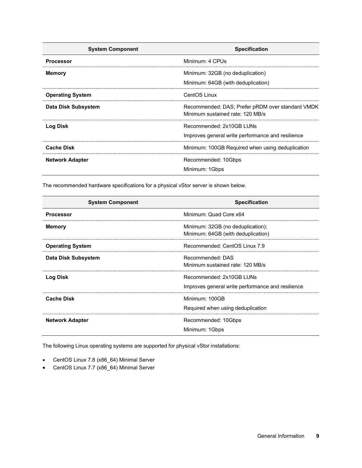| <b>System Component</b> | <b>Specification</b>                                                                 |
|-------------------------|--------------------------------------------------------------------------------------|
| <b>Processor</b>        | Minimum: 4 CPUs                                                                      |
| <b>Memory</b>           | Minimum: 32GB (no deduplication)<br>Minimum: 64GB (with deduplication)               |
| <b>Operating System</b> | CentOS Linux                                                                         |
| Data Disk Subsystem     | Recommended: DAS; Prefer pRDM over standard VMDK<br>Minimum sustained rate: 120 MB/s |
| Log Disk                | Recommended: 2x10GB LUNs<br>Improves general write performance and resilience        |
| <b>Cache Disk</b>       | Minimum: 100GB Required when using deduplication                                     |
| <b>Network Adapter</b>  | Recommended: 10Gbps<br>Minimum: 1Gbps                                                |

The recommended hardware specifications for a physical vStor server is shown below.

| <b>System Component</b> | <b>Specification</b>                                                          |
|-------------------------|-------------------------------------------------------------------------------|
| <b>Processor</b>        | Minimum: Quad Core x64                                                        |
| <b>Memory</b>           | Minimum: 32GB (no deduplication);<br>Minimum: 64GB (with deduplication)       |
| <b>Operating System</b> | Recommended: CentOS Linux 7.9                                                 |
| Data Disk Subsystem     | Recommended: DAS<br>Minimum sustained rate: 120 MB/s                          |
| <b>Log Disk</b>         | Recommended: 2x10GB LUNs<br>Improves general write performance and resilience |
| <b>Cache Disk</b>       | Minimum: 100GB<br>Required when using deduplication                           |
| <b>Network Adapter</b>  | Recommended: 10Gbps<br>Minimum: 1Gbps                                         |

The following Linux operating systems are supported for physical vStor installations:

- CentOS Linux 7.8 (x86\_64) Minimal Server
- CentOS Linux 7.7 (x86\_64) Minimal Server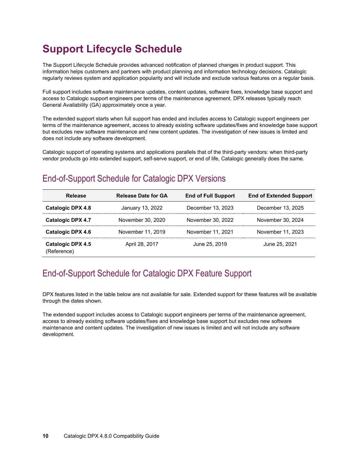# <span id="page-9-0"></span>**Support Lifecycle Schedule**

The Support Lifecycle Schedule provides advanced notification of planned changes in product support. This information helps customers and partners with product planning and information technology decisions. Catalogic regularly reviews system and application popularity and will include and exclude various features on a regular basis.

Full support includes software maintenance updates, content updates, software fixes, knowledge base support and access to Catalogic support engineers per terms of the maintenance agreement. DPX releases typically reach General Availability (GA) approximately once a year.

The extended support starts when full support has ended and includes access to Catalogic support engineers per terms of the maintenance agreement, access to already existing software updates/fixes and knowledge base support but excludes new software maintenance and new content updates. The investigation of new issues is limited and does not include any software development.

Catalogic support of operating systems and applications parallels that of the third-party vendors: when third-party vendor products go into extended support, self-serve support, or end of life, Catalogic generally does the same.

## <span id="page-9-1"></span>End-of-Support Schedule for Catalogic DPX Versions

| Release                                 | <b>Release Date for GA</b> | <b>End of Full Support</b> | <b>End of Extended Support</b> |
|-----------------------------------------|----------------------------|----------------------------|--------------------------------|
| Catalogic DPX 4.8                       | January 13, 2022           | December 13, 2023          | December 13, 2025              |
| <b>Catalogic DPX 4.7</b>                | November 30, 2020          | November 30, 2022          | November 30, 2024              |
| <b>Catalogic DPX 4.6</b>                | November 11, 2019          | November 11, 2021          | November 11, 2023              |
| <b>Catalogic DPX 4.5</b><br>(Reference) | April 28, 2017             | June 25, 2019              | June 25, 2021                  |

## <span id="page-9-2"></span>End-of-Support Schedule for Catalogic DPX Feature Support

DPX features listed in the table below are not available for sale. Extended support for these features will be available through the dates shown.

The extended support includes access to Catalogic support engineers per terms of the maintenance agreement, access to already existing software updates/fixes and knowledge base support but excludes new software maintenance and content updates. The investigation of new issues is limited and will not include any software development.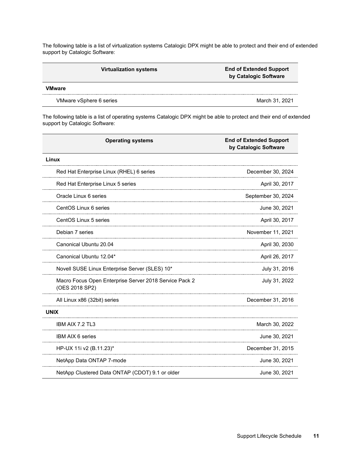The following table is a list of virtualization systems Catalogic DPX might be able to protect and their end of extended support by Catalogic Software:

| <b>Virtualization systems</b> | <b>End of Extended Support</b><br>by Catalogic Software |
|-------------------------------|---------------------------------------------------------|
| VMware                        |                                                         |
| VMware vSphere 6 series       | March 31, 2021                                          |

The following table is a list of operating systems Catalogic DPX might be able to protect and their end of extended support by Catalogic Software:

| <b>Operating systems</b>                                                 | <b>End of Extended Support</b><br>by Catalogic Software |
|--------------------------------------------------------------------------|---------------------------------------------------------|
| Linux                                                                    |                                                         |
| Red Hat Enterprise Linux (RHEL) 6 series                                 | December 30, 2024                                       |
| Red Hat Enterprise Linux 5 series                                        | April 30, 2017                                          |
| Oracle Linux 6 series                                                    | September 30, 2024                                      |
| CentOS Linux 6 series                                                    | June 30, 2021                                           |
| CentOS Linux 5 series                                                    | April 30, 2017                                          |
| Debian 7 series                                                          | November 11, 2021                                       |
| Canonical Ubuntu 20.04                                                   | April 30, 2030                                          |
| Canonical Ubuntu 12.04*                                                  | April 26, 2017                                          |
| Novell SUSE Linux Enterprise Server (SLES) 10*                           | July 31, 2016                                           |
| Macro Focus Open Enterprise Server 2018 Service Pack 2<br>(OES 2018 SP2) | July 31, 2022                                           |
| All Linux x86 (32bit) series                                             | December 31, 2016                                       |
| <b>UNIX</b>                                                              |                                                         |
| IBM AIX 7.2 TL3                                                          | March 30, 2022                                          |
| <b>IBM AIX 6 series</b>                                                  | June 30, 2021                                           |
| HP-UX 11i v2 (B.11.23)*                                                  | December 31, 2015                                       |
| NetApp Data ONTAP 7-mode                                                 | June 30, 2021                                           |
| NetApp Clustered Data ONTAP (CDOT) 9.1 or older                          | June 30, 2021                                           |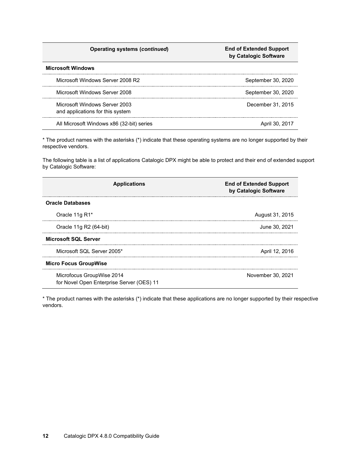| <b>Operating systems (continued)</b> |  |  |
|--------------------------------------|--|--|
|--------------------------------------|--|--|

#### **Operating systems (***continued***) End of Extended Support by Catalogic Software**

#### **Microsoft Windows**

| Microsoft Windows Server 2008 R2                                  | September 30, 2020 |
|-------------------------------------------------------------------|--------------------|
| Microsoft Windows Server 2008                                     | September 30, 2020 |
| Microsoft Windows Server 2003<br>and applications for this system | December 31, 2015  |
| All Microsoft Windows x86 (32-bit) series                         | April 30, 2017     |

\* The product names with the asterisks (\*) indicate that these operating systems are no longer supported by their respective vendors.

The following table is a list of applications Catalogic DPX might be able to protect and their end of extended support by Catalogic Software:

| <b>Applications</b>                                                    | <b>End of Extended Support</b><br>by Catalogic Software |  |  |
|------------------------------------------------------------------------|---------------------------------------------------------|--|--|
| <b>Oracle Databases</b>                                                |                                                         |  |  |
| Oracle 11g R1*                                                         | August 31, 2015                                         |  |  |
| Oracle 11g R2 (64-bit)                                                 | June 30, 2021                                           |  |  |
| <b>Microsoft SQL Server</b>                                            |                                                         |  |  |
| Microsoft SQL Server 2005*                                             | April 12, 2016                                          |  |  |
| <b>Micro Focus GroupWise</b>                                           |                                                         |  |  |
| Microfocus GroupWise 2014<br>for Novel Open Enterprise Server (OES) 11 | November 30, 2021                                       |  |  |

\* The product names with the asterisks (\*) indicate that these applications are no longer supported by their respective vendors.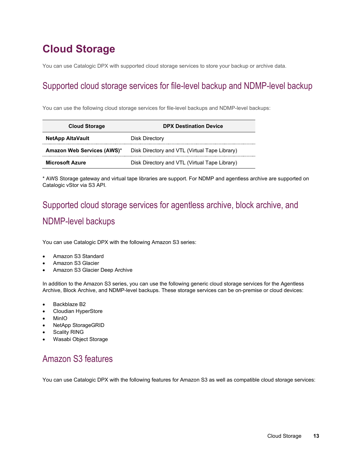# <span id="page-12-0"></span>**Cloud Storage**

You can use Catalogic DPX with supported cloud storage services to store your backup or archive data.

# <span id="page-12-1"></span>Supported cloud storage services for file-level backup and NDMP-level backup

You can use the following cloud storage services for file-level backups and NDMP-level backups:

| <b>Cloud Storage</b>       | <b>DPX Destination Device</b>                 |  |  |  |  |
|----------------------------|-----------------------------------------------|--|--|--|--|
| <b>NetApp AltaVault</b>    | Disk Directory                                |  |  |  |  |
| Amazon Web Services (AWS)* | Disk Directory and VTL (Virtual Tape Library) |  |  |  |  |
| <b>Microsoft Azure</b>     | Disk Directory and VTL (Virtual Tape Library) |  |  |  |  |

\* AWS Storage gateway and virtual tape libraries are support. For NDMP and agentless archive are supported on Catalogic vStor via S3 API.

# <span id="page-12-2"></span>Supported cloud storage services for agentless archive, block archive, and NDMP-level backups

You can use Catalogic DPX with the following Amazon S3 series:

- Amazon S3 Standard
- Amazon S3 Glacier
- Amazon S3 Glacier Deep Archive

In addition to the Amazon S3 series, you can use the following generic cloud storage services for the Agentless Archive, Block Archive, and NDMP-level backups. These storage services can be on-premise or cloud devices:

- Backblaze B2
- Cloudian HyperStore
- MinIO
- NetApp StorageGRID
- **Scality RING**
- Wasabi Object Storage

# <span id="page-12-3"></span>Amazon S3 features

You can use Catalogic DPX with the following features for Amazon S3 as well as compatible cloud storage services: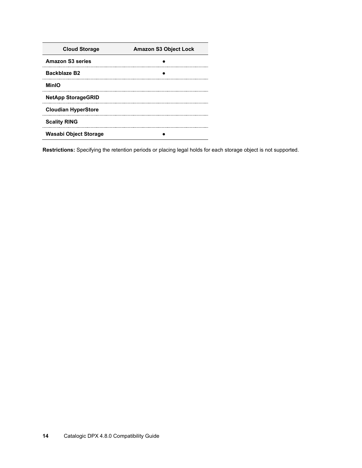| <b>Cloud Storage</b>       | <b>Amazon S3 Object Lock</b> |
|----------------------------|------------------------------|
| <b>Amazon S3 series</b>    |                              |
| Backblaze B2               |                              |
| <b>MinIO</b>               |                              |
| <b>NetApp StorageGRID</b>  |                              |
| <b>Cloudian HyperStore</b> |                              |
| <b>Scality RING</b>        |                              |
| Wasabi Object Storage      |                              |

**Restrictions:** Specifying the retention periods or placing legal holds for each storage object is not supported.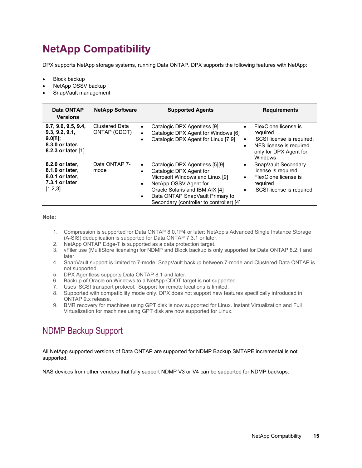# <span id="page-14-0"></span>**NetApp Compatibility**

DPX supports NetApp storage systems, running Data ONTAP. DPX supports the following features with NetApp:

- **Block backup**
- NetApp OSSV backup
- SnapVault management

| Data ONTAP<br><b>Versions</b>                                                                | <b>NetApp Software</b>                      | <b>Supported Agents</b>                                                                                                                                                                                                                | <b>Requirements</b>                                                                                                                                      |
|----------------------------------------------------------------------------------------------|---------------------------------------------|----------------------------------------------------------------------------------------------------------------------------------------------------------------------------------------------------------------------------------------|----------------------------------------------------------------------------------------------------------------------------------------------------------|
| 9.7, 9.6, 9.5, 9.4,<br>9.3, 9.2, 9.1,<br>$9.0[8]$ ;<br>8.3.0 or later,<br>8.2.3 or later [1] | Clustered Data<br>$\bullet$<br>ONTAP (CDOT) | Catalogic DPX Agentless [9]<br>Catalogic DPX Agent for Windows [6]<br>Catalogic DPX Agent for Linux [7,9]                                                                                                                              | FlexClone license is<br>$\bullet$<br>required<br>iSCSI license is required.<br>$\bullet$<br>NFS license is required<br>only for DPX Agent for<br>Windows |
| 8.2.0 or later,<br>8.1.0 or later,<br>8.0.1 or later,<br>7.3.1 or later<br>[1,2,3]           | Data ONTAP 7-<br>mode<br>$\bullet$          | Catalogic DPX Agentless [5][9]<br>Catalogic DPX Agent for<br>Microsoft Windows and Linux [9]<br>NetApp OSSV Agent for<br>Oracle Solaris and IBM AIX [4]<br>Data ONTAP SnapVault Primary to<br>Secondary (controller to controller) [4] | SnapVault Secondary<br>$\bullet$<br>license is required<br>FlexClone license is<br>$\bullet$<br>required<br>iSCSI license is required<br>$\bullet$       |

**Note:**

- 1. Compression is supported for Data ONTAP 8.0.1P4 or later; NetApp's Advanced Single Instance Storage (A-SIS) deduplication is supported for Data ONTAP 7.3.1 or later.
- 2. NetApp ONTAP Edge-T is supported as a data protection target.
- 3. vFiler use (MultiStore licensing) for NDMP and Block backup is only supported for Data ONTAP 8.2.1 and later.
- 4. SnapVault support is limited to 7-mode. SnapVault backup between 7-mode and Clustered Data ONTAP is not supported.
- 5. DPX Agentless supports Data ONTAP 8.1 and later.
- 6. Backup of Oracle on Windows to a NetApp CDOT target is not supported.
- 7. Uses iSCSI transport protocol. Support for remote locations is limited.
- 8. Supported with compatibility mode only. DPX does not support new features specifically introduced in ONTAP 9.x release.
- 9. BMR recovery for machines using GPT disk is now supported for Linux. Instant Virtualization and Full Virtualization for machines using GPT disk are now supported for Linux.

## <span id="page-14-1"></span>NDMP Backup Support

All NetApp supported versions of Data ONTAP are supported for NDMP Backup SMTAPE incremental is not supported.

NAS devices from other vendors that fully support NDMP V3 or V4 can be supported for NDMP backups.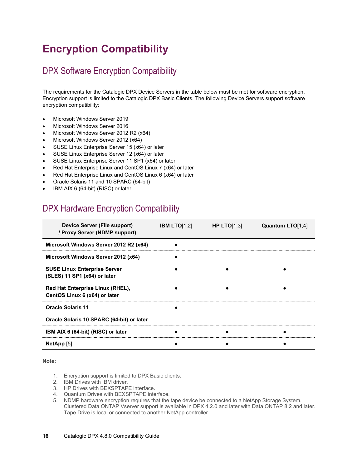# <span id="page-15-0"></span>**Encryption Compatibility**

## <span id="page-15-1"></span>DPX Software Encryption Compatibility

The requirements for the Catalogic DPX Device Servers in the table below must be met for software encryption. Encryption support is limited to the Catalogic DPX Basic Clients. The following Device Servers support software encryption compatibility:

- Microsoft Windows Server 2019
- Microsoft Windows Server 2016
- Microsoft Windows Server 2012 R2 (x64)
- Microsoft Windows Server 2012 (x64)
- SUSE Linux Enterprise Server 15 (x64) or later
- SUSE Linux Enterprise Server 12 (x64) or later
- SUSE Linux Enterprise Server 11 SP1 (x64) or later
- Red Hat Enterprise Linux and CentOS Linux 7 (x64) or later
- Red Hat Enterprise Linux and CentOS Linux 6 (x64) or later
- Oracle Solaris 11 and 10 SPARC (64-bit)
- IBM AIX 6 (64-bit) (RISC) or later

### <span id="page-15-2"></span>DPX Hardware Encryption Compatibility

| Device Server (File support)<br>/ Proxy Server (NDMP support)       | <b>IBM LTO</b> [1,2] | HP LTO $[1,3]$ | Quantum LTO[1,4] |
|---------------------------------------------------------------------|----------------------|----------------|------------------|
| Microsoft Windows Server 2012 R2 (x64)                              |                      |                |                  |
| Microsoft Windows Server 2012 (x64)                                 |                      |                |                  |
| <b>SUSE Linux Enterprise Server</b><br>(SLES) 11 SP1 (x64) or later |                      |                |                  |
| Red Hat Enterprise Linux (RHEL),<br>CentOS Linux 6 (x64) or later   |                      |                |                  |
| <b>Oracle Solaris 11</b>                                            |                      |                |                  |
| Oracle Solaris 10 SPARC (64-bit) or later                           |                      |                |                  |
| IBM AIX 6 (64-bit) (RISC) or later                                  |                      |                |                  |
| <b>NetApp</b> [5]                                                   |                      |                |                  |

- 1. Encryption support is limited to DPX Basic clients.
- 2. IBM Drives with IBM driver.
- 3. HP Drives with BEXSPTAPE interface.
- 4. Quantum Drives with BEXSPTAPE interface.
- 5. NDMP hardware encryption requires that the tape device be connected to a NetApp Storage System. Clustered Data ONTAP Vserver support is available in DPX 4.2.0 and later with Data ONTAP 8.2 and later. Tape Drive is local or connected to another NetApp controller.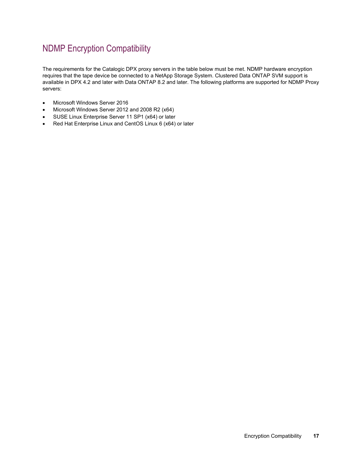# <span id="page-16-0"></span>NDMP Encryption Compatibility

The requirements for the Catalogic DPX proxy servers in the table below must be met. NDMP hardware encryption requires that the tape device be connected to a NetApp Storage System. Clustered Data ONTAP SVM support is available in DPX 4.2 and later with Data ONTAP 8.2 and later. The following platforms are supported for NDMP Proxy servers:

- Microsoft Windows Server 2016
- Microsoft Windows Server 2012 and 2008 R2 (x64)
- SUSE Linux Enterprise Server 11 SP1 (x64) or later
- Red Hat Enterprise Linux and CentOS Linux 6 (x64) or later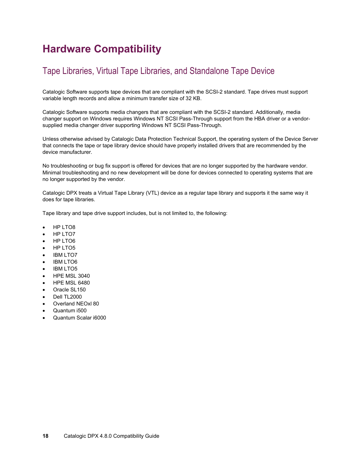# <span id="page-17-0"></span>**Hardware Compatibility**

## <span id="page-17-1"></span>Tape Libraries, Virtual Tape Libraries, and Standalone Tape Device

Catalogic Software supports tape devices that are compliant with the SCSI-2 standard. Tape drives must support variable length records and allow a minimum transfer size of 32 KB.

Catalogic Software supports media changers that are compliant with the SCSI-2 standard. Additionally, media changer support on Windows requires Windows NT SCSI Pass-Through support from the HBA driver or a vendorsupplied media changer driver supporting Windows NT SCSI Pass-Through.

Unless otherwise advised by Catalogic Data Protection Technical Support, the operating system of the Device Server that connects the tape or tape library device should have properly installed drivers that are recommended by the device manufacturer.

No troubleshooting or bug fix support is offered for devices that are no longer supported by the hardware vendor. Minimal troubleshooting and no new development will be done for devices connected to operating systems that are no longer supported by the vendor.

Catalogic DPX treats a Virtual Tape Library (VTL) device as a regular tape library and supports it the same way it does for tape libraries.

Tape library and tape drive support includes, but is not limited to, the following:

- HP LTO8
- HP LTO7
- HP LTO6
- HP LTO5
- **IBM LTO7**
- IBM LTO6
- IBM LTO5
- HPE MSL 3040
- HPE MSL 6480
- Oracle SL150
- Dell TL2000
- Overland NEOxl 80
- Quantum i500
- Quantum Scalar i6000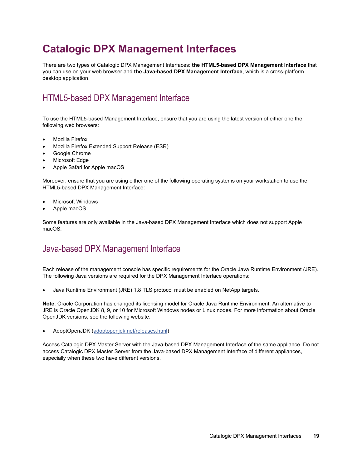# <span id="page-18-0"></span>**Catalogic DPX Management Interfaces**

There are two types of Catalogic DPX Management Interfaces: **the HTML5-based DPX Management Interface** that you can use on your web browser and **the Java-based DPX Management Interface**, which is a cross-platform desktop application.

# <span id="page-18-1"></span>HTML5-based DPX Management Interface

To use the HTML5-based Management Interface, ensure that you are using the latest version of either one the following web browsers:

- Mozilla Firefox
- Mozilla Firefox Extended Support Release (ESR)
- Google Chrome
- Microsoft Edge
- Apple Safari for Apple macOS

Moreover, ensure that you are using either one of the following operating systems on your workstation to use the HTML5-based DPX Management Interface:

- **Microsoft Windows**
- Apple macOS

Some features are only available in the Java-based DPX Management Interface which does not support Apple macOS.

## <span id="page-18-2"></span>Java-based DPX Management Interface

Each release of the management console has specific requirements for the Oracle Java Runtime Environment (JRE). The following Java versions are required for the DPX Management Interface operations:

• Java Runtime Environment (JRE) 1.8 TLS protocol must be enabled on NetApp targets.

**Note**: Oracle Corporation has changed its licensing model for Oracle Java Runtime Environment. An alternative to JRE is Oracle OpenJDK 8, 9, or 10 for Microsoft Windows nodes or Linux nodes. For more information about Oracle OpenJDK versions, see the following website:

• AdoptOpenJDK [\(adoptopenjdk.net/releases.html\)](https://adoptopenjdk.net/releases.html)

Access Catalogic DPX Master Server with the Java-based DPX Management Interface of the same appliance. Do not access Catalogic DPX Master Server from the Java-based DPX Management Interface of different appliances, especially when these two have different versions.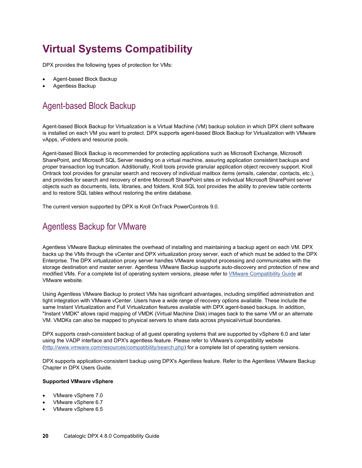# <span id="page-19-0"></span>**Virtual Systems Compatibility**

DPX provides the following types of protection for VMs:

- Agent-based Block Backup
- Agentless Backup

# <span id="page-19-1"></span>Agent-based Block Backup

Agent-based Block Backup for Virtualization is a Virtual Machine (VM) backup solution in which DPX client software is installed on each VM you want to protect. DPX supports agent-based Block Backup for Virtualization with VMware vApps, vFolders and resource pools.

Agent-based Block Backup is recommended for protecting applications such as Microsoft Exchange, Microsoft SharePoint, and Microsoft SQL Server residing on a virtual machine, assuring application consistent backups and proper transaction log truncation. Additionally, Kroll tools provide granular application object recovery support. Kroll Ontrack tool provides for granular search and recovery of individual mailbox items (emails, calendar, contacts, etc.), and provides for search and recovery of entire Microsoft SharePoint sites or individual Microsoft SharePoint server objects such as documents, lists, libraries, and folders. Kroll SQL tool provides the ability to preview table contents and to restore SQL tables without restoring the entire database.

The current version supported by DPX is Kroll OnTrack PowerControls 9.0.

## <span id="page-19-2"></span>Agentless Backup for VMware

Agentless VMware Backup eliminates the overhead of installing and maintaining a backup agent on each VM. DPX backs up the VMs through the vCenter and DPX virtualization proxy server, each of which must be added to the DPX Enterprise. The DPX virtualization proxy server handles VMware snapshot processing and communicates with the storage destination and master server. Agentless VMware Backup supports auto-discovery and protection of new and modified VMs. For a complete list of operating system versions, please refer to [VMware Compatibility Guide](http://www.vmware.com/resources/compatibility/search.php) at VMware website.

Using Agentless VMware Backup to protect VMs has significant advantages, including simplified administration and tight integration with VMware vCenter. Users have a wide range of recovery options available. These include the same Instant Virtualization and Full Virtualization features available with DPX agent-based backups. In addition, "Instant VMDK" allows rapid mapping of VMDK (Virtual Machine Disk) images back to the same VM or an alternate VM. VMDKs can also be mapped to physical servers to share data across physical/virtual boundaries.

DPX supports crash-consistent backup of all guest operating systems that are supported by vSphere 6.0 and later using the VADP interface and DPX's agentless feature. Please refer to VMware's compatibility website [\(http://www.vmware.com/resources/compatibility/search.php\)](http://www.vmware.com/resources/compatibility/search.php) for a complete list of operating system versions.

DPX supports application-consistent backup using DPX's Agentless feature. Refer to the Agentless VMware Backup Chapter in DPX Users Guide.

#### **Supported VMware vSphere**

- VMware vSphere 7.0
- VMware vSphere 6.7
- VMware vSphere 6.5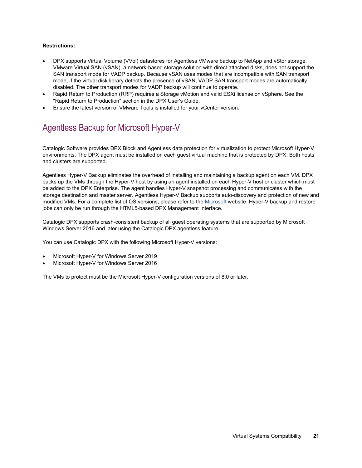#### **Restrictions:**

- DPX supports Virtual Volume (VVol) datastores for Agentless VMware backup to NetApp and vStor storage. VMware Virtual SAN (vSAN), a network-based storage solution with direct attached disks, does not support the SAN transport mode for VADP backup. Because vSAN uses modes that are incompatible with SAN transport mode, if the virtual disk library detects the presence of vSAN, VADP SAN transport modes are automatically disabled. The other transport modes for VADP backup will continue to operate.
- Rapid Return to Production (RRP) requires a Storage vMotion and valid ESXi license on vSphere. See the "Rapid Return to Production" section in the DPX User's Guide.
- Ensure the latest version of VMware Tools is installed for your vCenter version.

# <span id="page-20-0"></span>Agentless Backup for Microsoft Hyper-V

Catalogic Software provides DPX Block and Agentless data protection for virtualization to protect Microsoft Hyper-V environments. The DPX agent must be installed on each guest virtual machine that is protected by DPX. Both hosts and clusters are supported.

Agentless Hyper-V Backup eliminates the overhead of installing and maintaining a backup agent on each VM. DPX backs up the VMs through the Hyper-V host by using an agent installed on each Hyper-V host or cluster which must be added to the DPX Enterprise. The agent handles Hyper-V snapshot processing and communicates with the storage destination and master server. Agentless Hyper-V Backup supports auto-discovery and protection of new and modified VMs. For a complete list of OS versions, please refer to th[e Microsoft](https://docs.microsoft.com/en-us/windows-server/virtualization/hyper-v/supported-windows-guest-operating-systems-for-hyper-v-on-windows) website. Hyper-V backup and restore jobs can only be run through the HTML5-based DPX Management Interface.

Catalogic DPX supports crash-consistent backup of all guest operating systems that are supported by Microsoft Windows Server 2016 and later using the Catalogic DPX agentless feature.

You can use Catalogic DPX with the following Microsoft Hyper-V versions:

- Microsoft Hyper-V for Windows Server 2019
- Microsoft Hyper-V for Windows Server 2016

The VMs to protect must be the Microsoft Hyper-V configuration versions of 8.0 or later.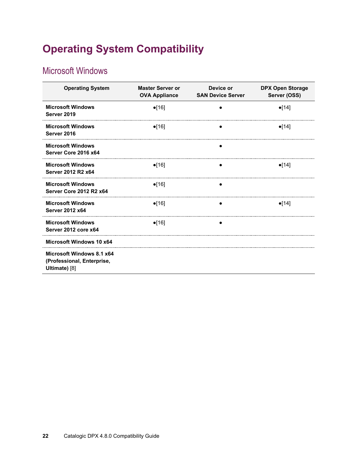# <span id="page-21-0"></span>**Operating System Compatibility**

# <span id="page-21-1"></span>Microsoft Windows

| <b>Operating System</b>                                                  | <b>Master Server or</b><br><b>OVA Appliance</b> | Device or<br><b>SAN Device Server</b> | <b>DPX Open Storage</b><br>Server (OSS) |
|--------------------------------------------------------------------------|-------------------------------------------------|---------------------------------------|-----------------------------------------|
| <b>Microsoft Windows</b><br>Server 2019                                  | $\bullet$ [16]                                  |                                       | $\bullet$ [14]                          |
| <b>Microsoft Windows</b><br>Server 2016                                  | $\bullet$ [16]                                  |                                       | $\bullet$ [14]                          |
| <b>Microsoft Windows</b><br>Server Core 2016 x64                         |                                                 |                                       |                                         |
| <b>Microsoft Windows</b><br>Server 2012 R2 x64                           | $\bullet$ [16]                                  |                                       | $\bullet$ [14]                          |
| <b>Microsoft Windows</b><br>Server Core 2012 R2 x64                      | $\bullet$ [16]                                  |                                       |                                         |
| <b>Microsoft Windows</b><br><b>Server 2012 x64</b>                       | $\bullet$ [16]                                  |                                       | $\bullet$ [14]                          |
| <b>Microsoft Windows</b><br>Server 2012 core x64                         | $\bullet$ [16]                                  |                                       |                                         |
| Microsoft Windows 10 x64                                                 |                                                 |                                       |                                         |
| Microsoft Windows 8.1 x64<br>(Professional, Enterprise,<br>Ultimate) [8] |                                                 |                                       |                                         |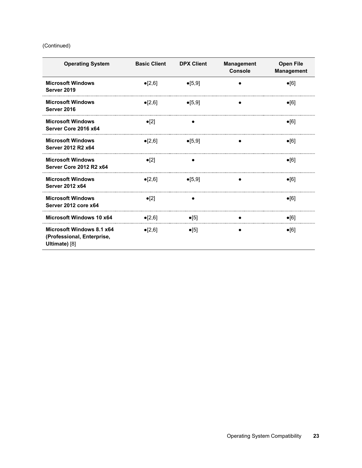#### (Continued)

| <b>Operating System</b>                                                  | <b>Basic Client</b> | <b>DPX Client</b> | <b>Management</b><br><b>Console</b> | <b>Open File</b><br><b>Management</b> |
|--------------------------------------------------------------------------|---------------------|-------------------|-------------------------------------|---------------------------------------|
| <b>Microsoft Windows</b><br>Server 2019                                  | $\bullet$ [2,6]     | $\bullet$ [5,9]   |                                     | $\bullet$ [6]                         |
| <b>Microsoft Windows</b><br>Server 2016                                  | $\bullet$ [2,6]     | $\bullet$ [5,9]   |                                     | $\bullet$ [6]                         |
| <b>Microsoft Windows</b><br>Server Core 2016 x64                         | $\bullet$ [2]       |                   |                                     | $\bullet$ [6]                         |
| <b>Microsoft Windows</b><br>Server 2012 R2 x64                           | $\bullet$ [2,6]     | $\bullet$ [5,9]   |                                     | $\bullet$ [6]                         |
| <b>Microsoft Windows</b><br>Server Core 2012 R2 x64                      | $\bullet$ [2]       |                   |                                     | $\bullet$ [6]                         |
| <b>Microsoft Windows</b><br><b>Server 2012 x64</b>                       | $\bullet$ [2,6]     | $\bullet$ [5,9]   |                                     | $\bullet$ [6]                         |
| <b>Microsoft Windows</b><br>Server 2012 core x64                         | $\bullet$ [2]       |                   |                                     | $\bullet$ [6]                         |
| Microsoft Windows 10 x64                                                 | $\bullet$ [2,6]     | $\bullet$ [5]     |                                     | $\bullet$ [6]                         |
| Microsoft Windows 8.1 x64<br>(Professional, Enterprise,<br>Ultimate) [8] | $\bullet$ [2,6]     | $\bullet$ [5]     |                                     | $\bullet$ [6]                         |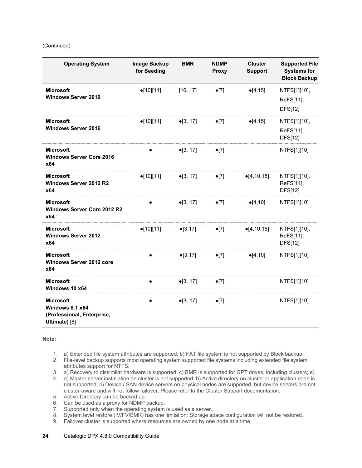#### (Continued)

| <b>Operating System</b>                                                            | Image Backup<br>for Seeding | <b>BMR</b>        | <b>NDMP</b><br><b>Proxy</b> | <b>Cluster</b><br><b>Support</b> | <b>Supported File</b><br><b>Systems for</b><br><b>Block Backup</b> |
|------------------------------------------------------------------------------------|-----------------------------|-------------------|-----------------------------|----------------------------------|--------------------------------------------------------------------|
| <b>Microsoft</b><br><b>Windows Server 2019</b>                                     | $\bullet$ [10][11]          | [16, 17]          | $\bullet$ [7]               | $\bullet$ [4,15]                 | NTFS[1][10],<br>ReFS[11],<br><b>DFS[12]</b>                        |
| <b>Microsoft</b><br><b>Windows Server 2016</b>                                     | $\bullet$ [10][11]          | $\bullet$ [3, 17] | $\bullet$ [7]               | $\bullet$ [4,15]                 | NTFS[1][10],<br>ReFS[11],<br><b>DFS[12]</b>                        |
| Microsoft<br><b>Windows Server Core 2016</b><br>x64                                |                             | $\bullet$ [3, 17] | $\bullet$ [7]               |                                  | NTFS[1][10]                                                        |
| <b>Microsoft</b><br><b>Windows Server 2012 R2</b><br>x64                           | $\bullet$ [10][11]          | $\bullet$ [3, 17] | $\bullet$ [7]               | $\bullet$ [4,10,15]              | NTFS[1][10],<br>ReFS[11],<br><b>DFS[12]</b>                        |
| <b>Microsoft</b><br><b>Windows Server Core 2012 R2</b><br>x64                      |                             | $\bullet$ [3, 17] | $\bullet$ [7]               | $\bullet$ [4,10]                 | NTFS[1][10]                                                        |
| <b>Microsoft</b><br><b>Windows Server 2012</b><br>x64                              | $\bullet$ [10][11]          | $\bullet$ [3,17]  | $\bullet$ [7]               | $\bullet$ [4,10,15]              | NTFS[1][10],<br>ReFS[11],<br><b>DFS[12]</b>                        |
| <b>Microsoft</b><br><b>Windows Server 2012 core</b><br>x64                         |                             | $\bullet$ [3,17]  | $\bullet$ [7]               | $\bullet$ [4,10]                 | NTFS[1][10]                                                        |
| <b>Microsoft</b><br>Windows 10 x64                                                 |                             | $\bullet$ [3, 17] | $\bullet$ [7]               |                                  | NTFS[1][10]                                                        |
| <b>Microsoft</b><br>Windows 8.1 x64<br>(Professional, Enterprise,<br>Ultimate) [8] |                             | $\bullet$ [3, 17] | $\bullet$ [7]               |                                  | NTFS[1][10]                                                        |

**Note:**

- 1. a) Extended file system attributes are supported; b) FAT file system is not supported by Block backup.
- 2. File-level backup supports most operating system supported file systems including extended file system attributes support for NTFS.
- 3. a) Recovery to dissimilar hardware is supported; c) BMR is supported for GPT drives, including clusters; e).
- 4. a) Master server installation on cluster is not supported; b) Active directory on cluster or application node is not supported; c) Device / SAN device servers on physical nodes are supported, but device servers are not cluster-aware and will not follow failover. Please refer to the Cluster Support documentation.
- 5. Active Directory can be backed up.
- 6. Can be used as a proxy for NDMP backup.
- 
- 7. Supported only when the operating system is used as a server.<br>8. System level restore (IV/FV/BMR) has one limitation: Storage sp 8. System level restore (IV/FV/BMR) has one limitation: Storage space configuration will not be restored.
- 9. Failover cluster is supported where resources are owned by one node at a time.

#### **24** Catalogic DPX 4.8.0 Compatibility Guide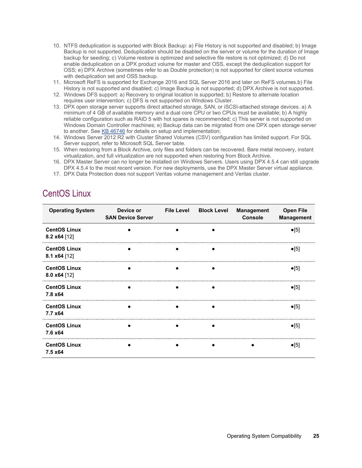- 10. NTFS deduplication is supported with Block Backup: a) File History is not supported and disabled; b) Image Backup is not supported. Deduplication should be disabled on the server or volume for the duration of Image backup for seeding; c) Volume restore is optimized and selective file restore is not optimized; d) Do not enable deduplication on a DPX product volume for master and OSS, except the deduplication support for OSS; e) DPX Archive (sometimes refer to as Double protection) is not supported for client source volumes with deduplication set and OSS backup.
- 11. Microsoft ReFS is supported for Exchange 2016 and SQL Server 2016 and later on ReFS volumes.b) File History is not supported and disabled; c) Image Backup is not supported; d) DPX Archive is not supported.
- 12. Windows DFS support: a) Recovery to original location is supported; b) Restore to alternate location requires user intervention; c) DFS is not supported on Windows Cluster.
- 13. DPX open storage server supports direct attached storage, SAN, or iSCSI-attached storage devices. a) A minimum of 4 GB of available memory and a dual core CPU or two CPUs must be available; b) A highly reliable configuration such as RAID 5 with hot spares is recommended; c) This server is not supported on Windows Domain Controller machines; e) Backup data can be migrated from one DPX open storage server to another. See [KB 46746](http://doc.catalogicsoftware.com/kb/index.htm#kb/46746.html) for details on setup and implementation;
- 14. Windows Server 2012 R2 with Cluster Shared Volumes (CSV) configuration has limited support. For SQL Server support, refer to Microsoft SQL Server table.
- 15. When restoring from a Block Archive, only files and folders can be recovered. Bare metal recovery, instant virtualization, and full virtualization are not supported when restoring from Block Archive.
- 16. DPX Master Server can no longer be installed on Windows Servers. Users using DPX 4.5.4 can still upgrade DPX 4.5.4 to the most recent version. For new deployments, use the DPX Master Server virtual appliance.
- 17. DPX Data Protection does not support Veritas volume management and Veritas cluster.

# <span id="page-24-0"></span>CentOS Linux

| <b>Operating System</b>               | Device or<br><b>SAN Device Server</b> | <b>File Level</b> | <b>Block Level</b> | <b>Management</b><br>Console | <b>Open File</b><br><b>Management</b> |
|---------------------------------------|---------------------------------------|-------------------|--------------------|------------------------------|---------------------------------------|
| <b>CentOS Linux</b><br>8.2 x64 [12]   |                                       |                   |                    |                              | $\bullet$ [5]                         |
| <b>CentOS Linux</b><br>8.1 x64 [12]   |                                       |                   |                    |                              | $\bullet$ [5]                         |
| <b>CentOS Linux</b><br>8.0 $x64$ [12] |                                       |                   |                    |                              | $\bullet$ [5]                         |
| <b>CentOS Linux</b><br>7.8 x64        |                                       |                   |                    |                              | $\bullet$ [5]                         |
| <b>CentOS Linux</b><br>7.7 x64        |                                       |                   |                    |                              | $\bullet$ [5]                         |
| <b>CentOS Linux</b><br>7.6 x64        |                                       |                   |                    |                              | $\bullet$ [5]                         |
| <b>CentOS Linux</b><br>7.5 x64        |                                       |                   |                    |                              | $\bullet$ [5]                         |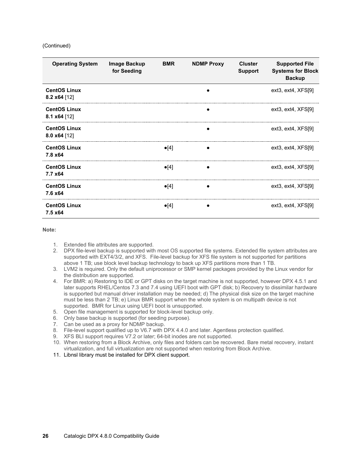#### (Continued)

| <b>Operating System</b>               | Image Backup<br>for Seeding | <b>BMR</b>    | <b>NDMP Proxy</b> | <b>Cluster</b><br><b>Support</b> | <b>Supported File</b><br><b>Systems for Block</b><br><b>Backup</b> |
|---------------------------------------|-----------------------------|---------------|-------------------|----------------------------------|--------------------------------------------------------------------|
| <b>CentOS Linux</b><br>8.2 $x64$ [12] |                             |               |                   |                                  | ext3, ext4, XFS[9]                                                 |
| <b>CentOS Linux</b><br>8.1 $x64$ [12] |                             |               |                   |                                  | ext3, ext4, XFS[9]                                                 |
| <b>CentOS Linux</b><br>8.0 $x64$ [12] |                             |               |                   |                                  | ext3, ext4, XFS[9]                                                 |
| <b>CentOS Linux</b><br>7.8 x 64       |                             | $\bullet$ [4] | $\bullet$         |                                  | ext3, ext4, XFS[9]                                                 |
| <b>CentOS Linux</b><br>7.7 x64        |                             | $\bullet$ [4] |                   |                                  | ext3, ext4, XFS[9]                                                 |
| <b>CentOS Linux</b><br>7.6 x64        |                             | $\bullet$ [4] |                   |                                  | ext3, ext4, XFS[9]                                                 |
| <b>CentOS Linux</b><br>7.5 x64        |                             | $\bullet$ [4] |                   |                                  | ext3, ext4, XFS[9]                                                 |

- 1. Extended file attributes are supported.
- 2. DPX file-level backup is supported with most OS supported file systems. Extended file system attributes are supported with EXT4/3/2, and XFS. File-level backup for XFS file system is not supported for partitions above 1 TB; use block level backup technology to back up XFS partitions more than 1 TB.
- 3. LVM2 is required. Only the default uniprocessor or SMP kernel packages provided by the Linux vendor for the distribution are supported.
- 4. For BMR: a) Restoring to IDE or GPT disks on the target machine is not supported, however DPX 4.5.1 and later supports RHEL/Centos 7.3 and 7.4 using UEFI boot with GPT disk; b) Recovery to dissimilar hardware is supported but manual driver installation may be needed; d) The physical disk size on the target machine must be less than 2 TB; e) Linux BMR support when the whole system is on multipath device is not supported. BMR for Linux using UEFI boot is unsupported.
- 5. Open file management is supported for block-level backup only.
- 6. Only base backup is supported (for seeding purpose).
- 7. Can be used as a proxy for NDMP backup.
- 8. File-level support qualified up to V6.7 with DPX 4.4.0 and later. Agentless protection qualified.
- 9. XFS BLI support requires V7.2 or later; 64-bit inodes are not supported.
- 10. When restoring from a Block Archive, only files and folders can be recovered. Bare metal recovery, instant virtualization, and full virtualization are not supported when restoring from Block Archive.
- 11. Libnsl library must be installed for DPX client support.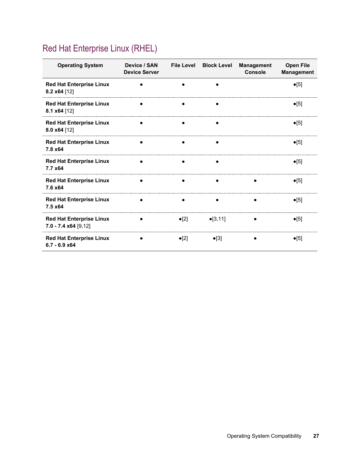# <span id="page-26-0"></span>Red Hat Enterprise Linux (RHEL)

| <b>Operating System</b>                                   | Device / SAN<br><b>Device Server</b> |               | File Level Block Level | <b>Management</b><br><b>Console</b> | <b>Open File</b><br><b>Management</b> |
|-----------------------------------------------------------|--------------------------------------|---------------|------------------------|-------------------------------------|---------------------------------------|
| <b>Red Hat Enterprise Linux</b><br>8.2 x64 [12]           |                                      |               |                        |                                     | $\bullet$ [5]                         |
| <b>Red Hat Enterprise Linux</b><br>8.1 $x64$ [12]         |                                      |               |                        |                                     | $\bullet$ [5]                         |
| <b>Red Hat Enterprise Linux</b><br>8.0 $x64$ [12]         |                                      |               |                        |                                     | $\bullet$ [5]                         |
| <b>Red Hat Enterprise Linux</b><br>7.8 x64                |                                      |               |                        |                                     | $\bullet$ [5]                         |
| <b>Red Hat Enterprise Linux</b><br>7.7 x64                |                                      |               |                        |                                     | $\bullet$ [5]                         |
| <b>Red Hat Enterprise Linux</b><br>7.6 x64                |                                      |               |                        |                                     | $\bullet$ [5]                         |
| <b>Red Hat Enterprise Linux</b><br>7.5 x64                |                                      |               |                        |                                     | $\bullet$ [5]                         |
| <b>Red Hat Enterprise Linux</b><br>$7.0 - 7.4$ x64 [9,12] |                                      | $\bullet$ [2] | $\bullet$ [3,11]       |                                     | $\bullet$ [5]                         |
| <b>Red Hat Enterprise Linux</b><br>$6.7 - 6.9 x64$        |                                      | $\bullet$ [2] | $\bullet$ [3]          |                                     | $\bullet$ [5]                         |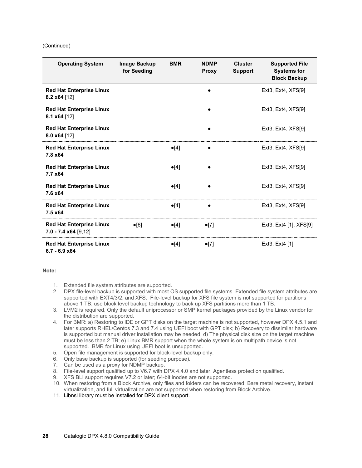#### (Continued)

| <b>Operating System</b>                                         | Image Backup<br>for Seeding | <b>BMR</b>    | <b>NDMP</b><br><b>Proxy</b> | <b>Cluster</b><br><b>Support</b> | <b>Supported File</b><br><b>Systems for</b><br><b>Block Backup</b> |
|-----------------------------------------------------------------|-----------------------------|---------------|-----------------------------|----------------------------------|--------------------------------------------------------------------|
| <b>Red Hat Enterprise Linux</b><br>8.2 $x64$ [12]               |                             |               |                             |                                  | Ext3, Ext4, $XFS[9]$                                               |
| <b>Red Hat Enterprise Linux</b><br>8.1 $x64$ [12]               |                             |               |                             |                                  | Ext3, Ext4, XFS[9]                                                 |
| <b>Red Hat Enterprise Linux</b><br>$8.0 x64$ [12]               |                             |               |                             |                                  | Ext <sub>3</sub> , Ext <sub>4</sub> , $XFS[9]$                     |
| <b>Red Hat Enterprise Linux</b><br>7.8 x 64                     |                             | $\bullet$ [4] |                             |                                  | Ext3, Ext4, XFS[9]                                                 |
| <b>Red Hat Enterprise Linux</b><br>7.7 x64                      |                             | $\bullet$ [4] |                             |                                  | Ext3, Ext4, XFS[9]                                                 |
| <b>Red Hat Enterprise Linux</b><br>7.6 x64                      |                             | $\bullet$ [4] |                             |                                  | Ext3, Ext4, $XFS[9]$                                               |
| <b>Red Hat Enterprise Linux</b><br>$7.5 \times 64$              |                             | $\bullet$ [4] | $\bullet$                   |                                  | Ext3, Ext4, XFS[9]                                                 |
| <b>Red Hat Enterprise Linux</b><br>$7.0 - 7.4 \times 64$ [9,12] | $\bullet$ [6]               | $\bullet$ [4] | $\bullet$ [7]               |                                  | Ext3, Ext4 [1], XFS[9]                                             |
| <b>Red Hat Enterprise Linux</b><br>$6.7 - 6.9$ x64              |                             | $\bullet$ [4] | $\bullet$ [7]               |                                  | Ext <sub>3</sub> , Ext <sub>4</sub> [1]                            |

- 1. Extended file system attributes are supported.
- 2. DPX file-level backup is supported with most OS supported file systems. Extended file system attributes are supported with EXT4/3/2, and XFS. File-level backup for XFS file system is not supported for partitions above 1 TB; use block level backup technology to back up XFS partitions more than 1 TB.
- 3. LVM2 is required. Only the default uniprocessor or SMP kernel packages provided by the Linux vendor for the distribution are supported.
- 4. For BMR: a) Restoring to IDE or GPT disks on the target machine is not supported, however DPX 4.5.1 and later supports RHEL/Centos 7.3 and 7.4 using UEFI boot with GPT disk; b) Recovery to dissimilar hardware is supported but manual driver installation may be needed; d) The physical disk size on the target machine must be less than 2 TB; e) Linux BMR support when the whole system is on multipath device is not supported. BMR for Linux using UEFI boot is unsupported.
- 5. Open file management is supported for block-level backup only.
- 6. Only base backup is supported (for seeding purpose).
- 7. Can be used as a proxy for NDMP backup.
- 8. File-level support qualified up to V6.7 with DPX 4.4.0 and later. Agentless protection qualified.
- 9. XFS BLI support requires V7.2 or later; 64-bit inodes are not supported.
- 10. When restoring from a Block Archive, only files and folders can be recovered. Bare metal recovery, instant virtualization, and full virtualization are not supported when restoring from Block Archive.
- 11. Libnsl library must be installed for DPX client support.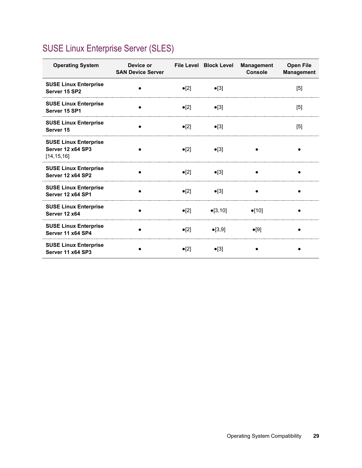# <span id="page-28-0"></span>SUSE Linux Enterprise Server (SLES)

| <b>Operating System</b>                                                  | Device or<br><b>SAN Device Server</b> |               | File Level Block Level | <b>Management</b><br><b>Console</b> | <b>Open File</b><br><b>Management</b> |
|--------------------------------------------------------------------------|---------------------------------------|---------------|------------------------|-------------------------------------|---------------------------------------|
| <b>SUSE Linux Enterprise</b><br>Server 15 SP2                            |                                       | $\bullet$ [2] | $\bullet$ [3]          |                                     | [5]                                   |
| <b>SUSE Linux Enterprise</b><br>Server 15 SP1                            |                                       | $\bullet$ [2] | $\bullet$ [3]          |                                     | [5]                                   |
| <b>SUSE Linux Enterprise</b><br>Server 15                                |                                       | $\bullet$ [2] | $\bullet$ [3]          |                                     | $[5]$                                 |
| <b>SUSE Linux Enterprise</b><br><b>Server 12 x64 SP3</b><br>[14, 15, 16] |                                       | $\bullet$ [2] | $\bullet$ [3]          |                                     |                                       |
| <b>SUSE Linux Enterprise</b><br>Server 12 x64 SP2                        |                                       | $\bullet$ [2] | $\bullet$ [3]          |                                     |                                       |
| <b>SUSE Linux Enterprise</b><br>Server 12 x64 SP1                        |                                       | $\bullet$ [2] | $\bullet$ [3]          |                                     |                                       |
| <b>SUSE Linux Enterprise</b><br>Server 12 x64                            |                                       | $\bullet$ [2] | $\bullet$ [3,10]       | $\bullet$ [10]                      |                                       |
| <b>SUSE Linux Enterprise</b><br>Server 11 x64 SP4                        |                                       | $\bullet$ [2] | $\bullet$ [3,9]        | $\bullet$ [9]                       |                                       |
| <b>SUSE Linux Enterprise</b><br>Server 11 x64 SP3                        |                                       | $\bullet$ [2] | $\bullet$ [3]          |                                     |                                       |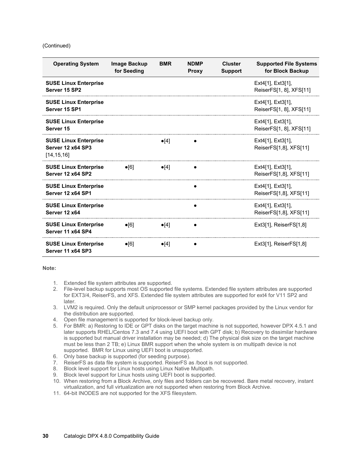#### (Continued)

| <b>Operating System</b>                                                  | Image Backup<br>for Seeding | <b>BMR</b>    | <b>NDMP</b><br><b>Proxy</b> | <b>Cluster</b><br><b>Support</b> | <b>Supported File Systems</b><br>for Block Backup  |
|--------------------------------------------------------------------------|-----------------------------|---------------|-----------------------------|----------------------------------|----------------------------------------------------|
| <b>SUSE Linux Enterprise</b><br>Server 15 SP2                            |                             |               |                             |                                  | Ext4[1], Ext3[1],<br>ReiserFS[1, 8], XFS[11]       |
| <b>SUSE Linux Enterprise</b><br>Server 15 SP1                            |                             |               |                             |                                  | $Ext4[1]$ , $Ext3[1]$ ,<br>ReiserFS[1, 8], XFS[11] |
| <b>SUSE Linux Enterprise</b><br>Server 15                                |                             |               |                             |                                  | $Ext4[1]$ , $Ext3[1]$ ,<br>ReiserFS[1, 8], XFS[11] |
| <b>SUSE Linux Enterprise</b><br><b>Server 12 x64 SP3</b><br>[14, 15, 16] |                             | $\bullet$ [4] |                             |                                  | Ext4[1], Ext3[1],<br>ReiserFS[1,8], XFS[11]        |
| <b>SUSE Linux Enterprise</b><br><b>Server 12 x64 SP2</b>                 | $\bullet$ [6]               | $\bullet$ [4] |                             |                                  | $Ext4[1]$ , $Ext3[1]$ ,<br>ReiserFS[1,8], XFS[11]  |
| <b>SUSE Linux Enterprise</b><br>Server 12 x64 SP1                        |                             |               |                             |                                  | $Ext4[1]$ , $Ext3[1]$ ,<br>ReiserFS[1,8], XFS[11]  |
| <b>SUSE Linux Enterprise</b><br>Server 12 x64                            |                             |               |                             |                                  | $Ext4[1]$ , $Ext3[1]$ ,<br>ReiserFS[1,8], XFS[11]  |
| <b>SUSE Linux Enterprise</b><br>Server 11 x64 SP4                        | $\bullet$ [6]               | $\bullet$ [4] |                             |                                  | $Ext3[1]$ , Reiser $FS[1,8]$                       |
| <b>SUSE Linux Enterprise</b><br><b>Server 11 x64 SP3</b>                 | $\bullet$ [6]               | $\bullet$ [4] |                             |                                  | $Ext3[1]$ , Reiser $FS[1,8]$                       |

- 1. Extended file system attributes are supported.
- 2. File-level backup supports most OS supported file systems. Extended file system attributes are supported for EXT3/4, ReiserFS, and XFS. Extended file system attributes are supported for ext4 for V11 SP2 and later.
- 3. LVM2 is required. Only the default uniprocessor or SMP kernel packages provided by the Linux vendor for the distribution are supported.
- 4. Open file management is supported for block-level backup only.
- 5. For BMR: a) Restoring to IDE or GPT disks on the target machine is not supported, however DPX 4.5.1 and later supports RHEL/Centos 7.3 and 7.4 using UEFI boot with GPT disk; b) Recovery to dissimilar hardware is supported but manual driver installation may be needed; d) The physical disk size on the target machine must be less than 2 TB; e) Linux BMR support when the whole system is on multipath device is not supported. BMR for Linux using UEFI boot is unsupported.
- 6. Only base backup is supported (for seeding purpose).
- 7. ReiserFS as data file system is supported. ReiserFS as /boot is not supported.
- 8. Block level support for Linux hosts using Linux Native Multipath.
- 9. Block level support for Linux hosts using UEFI boot is supported.
- 10. When restoring from a Block Archive, only files and folders can be recovered. Bare metal recovery, instant virtualization, and full virtualization are not supported when restoring from Block Archive.
- 11. 64-bit INODES are not supported for the XFS filesystem.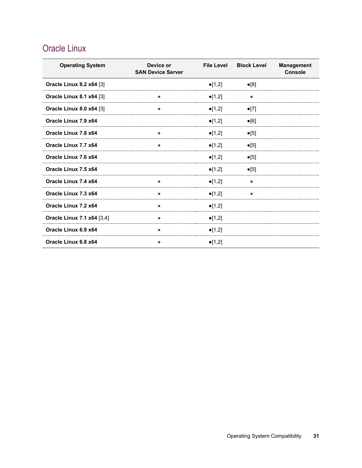# <span id="page-30-0"></span>Oracle Linux

| <b>Operating System</b>           | Device or<br><b>SAN Device Server</b> | <b>File Level</b> | <b>Block Level</b> | <b>Management</b><br>Console |
|-----------------------------------|---------------------------------------|-------------------|--------------------|------------------------------|
| Oracle Linux 8.2 x64 [3]          |                                       | $\bullet$ [1,2]   | $\bullet$ [8]      |                              |
| <b>Oracle Linux 8.1 x64 [3]</b>   |                                       | $\bullet$ [1,2]   |                    |                              |
| Oracle Linux 8.0 x64 [3]          |                                       | $\bullet$ [1,2]   | $\bullet$ [7]      |                              |
| Oracle Linux 7.9 x64              |                                       | $\bullet$ [1,2]   | $\bullet$ [6]      |                              |
| Oracle Linux 7.8 x64              |                                       | $\bullet$ [1,2]   | $\bullet$ [5]      |                              |
| Oracle Linux 7.7 x64              | ٠                                     | $\bullet$ [1,2]   | $\bullet$ [5]      |                              |
| Oracle Linux 7.6 x64              |                                       | $\bullet$ [1,2]   | $\bullet$ [5]      |                              |
| Oracle Linux 7.5 x64              |                                       | $\bullet$ [1,2]   | $\bullet$ [5]      |                              |
| Oracle Linux 7.4 x64              |                                       | $\bullet$ [1,2]   |                    |                              |
| Oracle Linux 7.3 x64              |                                       | $\bullet$ [1,2]   |                    |                              |
| Oracle Linux 7.2 x64              |                                       | $\bullet$ [1,2]   |                    |                              |
| <b>Oracle Linux 7.1 x64 [3,4]</b> |                                       | $\bullet$ [1,2]   |                    |                              |
| Oracle Linux 6.9 x64              |                                       | $\bullet$ [1,2]   |                    |                              |
| Oracle Linux 6.8 x64              |                                       | $\bullet$ [1,2]   |                    |                              |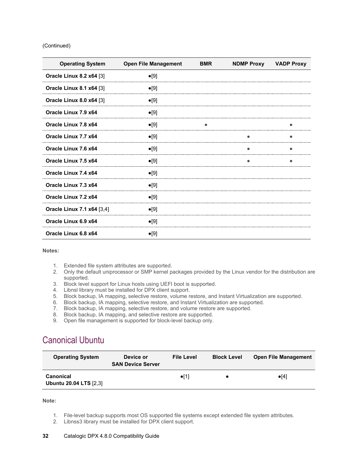#### (Continued)

| <b>Operating System</b>           | <b>Open File Management</b> | <b>BMR</b> | <b>NDMP Proxy</b> | <b>VADP Proxy</b> |
|-----------------------------------|-----------------------------|------------|-------------------|-------------------|
| <b>Oracle Linux 8.2 x64 [3]</b>   | $\bullet$ [9]               |            |                   |                   |
| <b>Oracle Linux 8.1 x64 [3]</b>   | $\bullet$ [9]               |            |                   |                   |
| Oracle Linux 8.0 x64 [3]          | $\bullet$ [9]               |            |                   |                   |
| Oracle Linux 7.9 x64              | $\bullet$ [9]               |            |                   |                   |
| Oracle Linux 7.8 x64              | $\bullet$ [9]               |            |                   |                   |
| Oracle Linux 7.7 x64              | $\bullet$ [9]               |            |                   |                   |
| Oracle Linux 7.6 x64              | $\bullet$ [9]               |            |                   |                   |
| Oracle Linux 7.5 x64              | $\bullet$ [9]               |            |                   |                   |
| Oracle Linux 7.4 x64              | $\bullet$ [9]               |            |                   |                   |
| Oracle Linux 7.3 x64              | $\bullet$ [9]               |            |                   |                   |
| Oracle Linux 7.2 x64              | $\bullet$ [9]               |            |                   |                   |
| <b>Oracle Linux 7.1 x64 [3,4]</b> | $\bullet$ [9]               |            |                   |                   |
| Oracle Linux 6.9 x64              | $\bullet$ [9]               |            |                   |                   |
| Oracle Linux 6.8 x64              | $\bullet$ [9]               |            |                   |                   |

**Notes:**

- 1. Extended file system attributes are supported.
- 2. Only the default uniprocessor or SMP kernel packages provided by the Linux vendor for the distribution are supported.
- 3. Block level support for Linux hosts using UEFI boot is supported.
- 4. Libnsl library must be installed for DPX client support.
- 5. Block backup, IA mapping, selective restore, volume restore, and Instant Virtualization are supported.
- 6. Block backup, IA mapping, selective restore, and Instant Virtualization are supported.
- 7. Block backup, IA mapping, selective restore, and volume restore are supported.
- 8. Block backup, IA mapping, and selective restore are supported.
- 9. Open file management is supported for block-level backup only.

### <span id="page-31-0"></span>Canonical Ubuntu

| <b>Operating System</b>                           | Device or<br><b>SAN Device Server</b> | <b>File Level</b> | <b>Block Level</b> | <b>Open File Management</b> |
|---------------------------------------------------|---------------------------------------|-------------------|--------------------|-----------------------------|
| <b>Canonical</b><br><b>Ubuntu 20.04 LTS [2.3]</b> |                                       | $\bullet$ [1]     |                    | $\bullet$ [4]               |

**Note:**

- 1. File-level backup supports most OS supported file systems except extended file system attributes.
- 2. Libnss3 library must be installed for DPX client support.

#### **32** Catalogic DPX 4.8.0 Compatibility Guide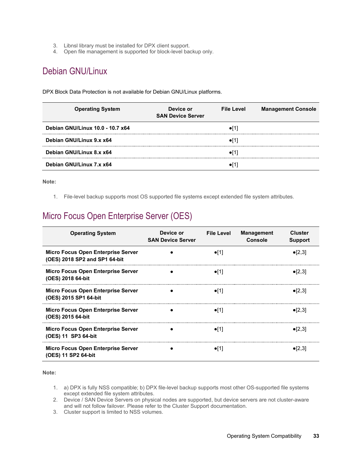- 3. Libnsl library must be installed for DPX client support.
- 4. Open file management is supported for block-level backup only.

## <span id="page-32-0"></span>Debian GNU/Linux

DPX Block Data Protection is **not** available for Debian GNU/Linux platforms.

| <b>Operating System</b>          | Device or<br><b>SAN Device Server</b> | <b>File Level</b><br><b>Management Console</b> |
|----------------------------------|---------------------------------------|------------------------------------------------|
| Debian GNU/Linux 10.0 - 10.7 x64 |                                       |                                                |
| Debian GNU/Linux 9.x x64         |                                       |                                                |
| Debian GNU/Linux 8.x x64         |                                       |                                                |
| Debian GNU/Linux 7.x x64         |                                       |                                                |

**Note:**

1. File-level backup supports most OS supported file systems except extended file system attributes.

## <span id="page-32-1"></span>Micro Focus Open Enterprise Server (OES)

| <b>Operating System</b>                                                    | Device or<br><b>SAN Device Server</b> | <b>File Level</b> | <b>Management</b><br><b>Console</b> | Cluster<br><b>Support</b> |
|----------------------------------------------------------------------------|---------------------------------------|-------------------|-------------------------------------|---------------------------|
| <b>Micro Focus Open Enterprise Server</b><br>(OES) 2018 SP2 and SP1 64-bit |                                       | $\bullet$ [1]     |                                     | $\bullet$ [2,3]           |
| <b>Micro Focus Open Enterprise Server</b><br>(OES) 2018 64-bit             |                                       | $\bullet$ [1]     |                                     | $\bullet$ [2,3]           |
| <b>Micro Focus Open Enterprise Server</b><br>(OES) 2015 SP1 64-bit         |                                       | $\bullet$ [1]     |                                     | $\bullet$ [2,3]           |
| <b>Micro Focus Open Enterprise Server</b><br>(OES) 2015 64-bit             |                                       | $\bullet$ [1]     |                                     | $\bullet$ [2,3]           |
| <b>Micro Focus Open Enterprise Server</b><br>(OES) 11 SP3 64-bit           |                                       | $\bullet$ [1]     |                                     | $\bullet$ [2,3]           |
| <b>Micro Focus Open Enterprise Server</b><br>(OES) 11 SP2 64-bit           |                                       | $\bullet$ [1]     |                                     | $\bullet$ [2,3]           |

- 1. a) DPX is fully NSS compatible; b) DPX file-level backup supports most other OS-supported file systems except extended file system attributes.
- 2. Device / SAN Device Servers on physical nodes are supported, but device servers are not cluster-aware and will not follow failover. Please refer to the Cluster Support documentation.
- 3. Cluster support is limited to NSS volumes.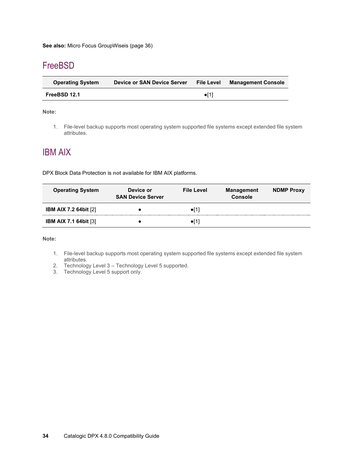## <span id="page-33-0"></span>**FreeBSD**

| <b>Operating System</b> | Device or SAN Device Server | <b>File Level</b> | <b>Management Console</b> |
|-------------------------|-----------------------------|-------------------|---------------------------|
| FreeBSD 12.1            |                             | $\bullet$ [1]     |                           |

#### **Note:**

1. File-level backup supports most operating system supported file systems except extended file system attributes.

### <span id="page-33-1"></span>IBM AIX

DPX Block Data Protection is **not** available for IBM AIX platforms.

| <b>Operating System</b>      | Device or<br><b>SAN Device Server</b> | <b>File Level</b> | <b>Management</b><br><b>Console</b> | <b>NDMP Proxy</b> |
|------------------------------|---------------------------------------|-------------------|-------------------------------------|-------------------|
| <b>IBM AIX 7.2 64bit [2]</b> |                                       | $\bullet$ [1]     |                                     |                   |
| <b>IBM AIX 7.1 64bit [3]</b> |                                       | $\bullet$ [1]     |                                     |                   |

- 1. File-level backup supports most operating system supported file systems except extended file system attributes.
- 2. Technology Level 3 Technology Level 5 supported.
- 3. Technology Level 5 support only.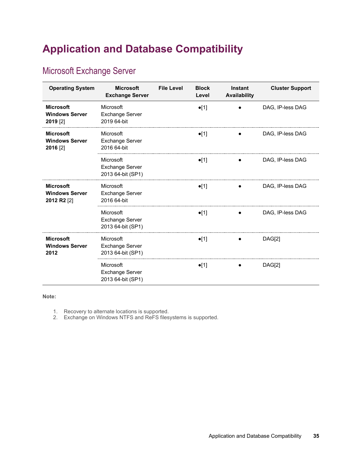# <span id="page-34-0"></span>**Application and Database Compatibility**

# <span id="page-34-1"></span>Microsoft Exchange Server

| <b>Operating System</b>                                  | <b>Microsoft</b><br><b>Exchange Server</b>               | <b>File Level</b> | <b>Block</b><br>Level | <b>Instant</b><br><b>Availability</b> | <b>Cluster Support</b> |
|----------------------------------------------------------|----------------------------------------------------------|-------------------|-----------------------|---------------------------------------|------------------------|
| <b>Microsoft</b><br><b>Windows Server</b><br>2019 [2]    | Microsoft<br><b>Exchange Server</b><br>2019 64-bit       |                   | $\bullet$ [1]         |                                       | DAG, IP-less DAG       |
| <b>Microsoft</b><br><b>Windows Server</b><br>2016 [2]    | Microsoft<br><b>Exchange Server</b><br>2016 64-bit       |                   | $\bullet$ [1]         |                                       | DAG, IP-less DAG       |
|                                                          | Microsoft<br><b>Exchange Server</b><br>2013 64-bit (SP1) |                   | $\bullet$ [1]         |                                       | DAG, IP-less DAG       |
| <b>Microsoft</b><br><b>Windows Server</b><br>2012 R2 [2] | Microsoft<br><b>Exchange Server</b><br>2016 64-bit       |                   | $\bullet$ [1]         |                                       | DAG. IP-less DAG       |
|                                                          | Microsoft<br><b>Exchange Server</b><br>2013 64-bit (SP1) |                   | $\bullet$ [1]         |                                       | DAG, IP-less DAG       |
| <b>Microsoft</b><br><b>Windows Server</b><br>2012        | Microsoft<br><b>Exchange Server</b><br>2013 64-bit (SP1) |                   | $\bullet$ [1]         |                                       | DAG[2]                 |
|                                                          | Microsoft<br><b>Exchange Server</b><br>2013 64-bit (SP1) |                   | $\bullet$ [1]         |                                       | DAG[2]                 |

**Note:**

1. Recovery to alternate locations is supported.

2. Exchange on Windows NTFS and ReFS filesystems is supported.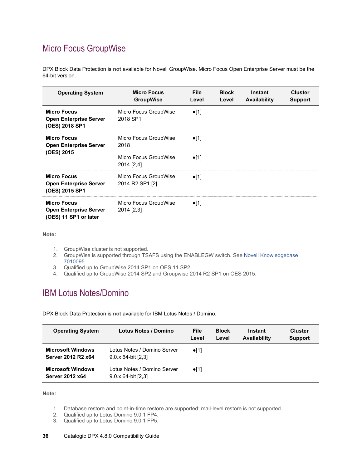# <span id="page-35-0"></span>Micro Focus GroupWise

DPX Block Data Protection is **not** available for Novell GroupWise. Micro Focus Open Enterprise Server must be the 64-bit version.

| <b>Operating System</b>                                                      | <b>Micro Focus</b><br><b>GroupWise</b>   | <b>File</b><br>Level | <b>Block</b><br>Level | Instant<br>Availability | <b>Cluster</b><br><b>Support</b> |
|------------------------------------------------------------------------------|------------------------------------------|----------------------|-----------------------|-------------------------|----------------------------------|
| <b>Micro Focus</b><br><b>Open Enterprise Server</b><br>(OES) 2018 SP1        | Micro Focus GroupWise<br>2018 SP1        | $\bullet$ [1]        |                       |                         |                                  |
| <b>Micro Focus</b><br><b>Open Enterprise Server</b><br>(OES) 2015            | Micro Focus GroupWise<br>2018            | $\bullet$ [1]        |                       |                         |                                  |
|                                                                              | Micro Focus GroupWise<br>2014 [2,4]      | $\bullet$ [1]        |                       |                         |                                  |
| <b>Micro Focus</b><br><b>Open Enterprise Server</b><br>(OES) 2015 SP1        | Micro Focus GroupWise<br>2014 R2 SP1 [2] | $\bullet$ [1]        |                       |                         |                                  |
| <b>Micro Focus</b><br><b>Open Enterprise Server</b><br>(OES) 11 SP1 or later | Micro Focus GroupWise<br>2014 [2,3]      | $\bullet$ [1]        |                       |                         |                                  |

**Note:**

- 1. GroupWise cluster is not supported.
- 2. GroupWise is supported through TSAFS using the ENABLEGW switch. See <u>Novell Knowledgebase</u> [7010095.](http://www.novell.com/support/kb/doc.php?id=7010095)
- 3. Qualified up to GroupWise 2014 SP1 on OES 11 SP2.
- 4. Qualified up to GroupWise 2014 SP2 and Groupwise 2014 R2 SP1 on OES 2015.

### <span id="page-35-1"></span>IBM Lotus Notes/Domino

DPX Block Data Protection is **not** available for IBM Lotus Notes / Domino.

| <b>Operating System</b>                            | Lotus Notes / Domino                                      | File<br>Level | <b>Block</b><br>Level | Instant<br>Availability | <b>Cluster</b><br><b>Support</b> |
|----------------------------------------------------|-----------------------------------------------------------|---------------|-----------------------|-------------------------|----------------------------------|
| <b>Microsoft Windows</b><br>Server 2012 R2 x64     | Lotus Notes / Domino Server<br>$9.0 \times 64$ -bit [2,3] | $\bullet$ [1] |                       |                         |                                  |
| <b>Microsoft Windows</b><br><b>Server 2012 x64</b> | Lotus Notes / Domino Server<br>$9.0 \times 64$ -bit [2,3] | $\bullet$ [1] |                       |                         |                                  |

**Note:**

- 1. Database restore and point-in-time restore are supported; mail-level restore is not supported.
- 2. Qualified up to Lotus Domino 9.0.1 FP4.
- 3. Qualified up to Lotus Domino 9.0.1 FP5.

#### **36** Catalogic DPX 4.8.0 Compatibility Guide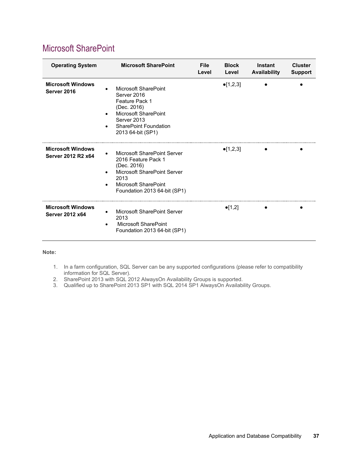| <b>Operating System</b>                            | <b>Microsoft SharePoint</b>                                                                                                                                      | <b>File</b><br>Level | <b>Block</b><br>Level | Instant<br>Availability | <b>Cluster</b><br><b>Support</b> |
|----------------------------------------------------|------------------------------------------------------------------------------------------------------------------------------------------------------------------|----------------------|-----------------------|-------------------------|----------------------------------|
| <b>Microsoft Windows</b><br>Server 2016            | Microsoft SharePoint<br>Server 2016<br>Feature Pack 1<br>(Dec. 2016)<br>Microsoft SharePoint<br>Server 2013<br><b>SharePoint Foundation</b><br>2013 64-bit (SP1) |                      | $\bullet$ [1,2,3]     |                         |                                  |
| <b>Microsoft Windows</b><br>Server 2012 R2 x64     | Microsoft SharePoint Server<br>2016 Feature Pack 1<br>(Dec. 2016)<br>Microsoft SharePoint Server<br>2013<br>Microsoft SharePoint<br>Foundation 2013 64-bit (SP1) |                      | $\bullet$ [1,2,3]     |                         |                                  |
| <b>Microsoft Windows</b><br><b>Server 2012 x64</b> | Microsoft SharePoint Server<br>2013<br>Microsoft SharePoint<br>Foundation 2013 64-bit (SP1)                                                                      |                      | $\bullet$ [1,2]       |                         |                                  |

### <span id="page-36-0"></span>Microsoft SharePoint

- 1. In a farm configuration, SQL Server can be any supported configurations (please refer to compatibility information for SQL Server).
- 2. SharePoint 2013 with SQL 2012 AlwaysOn Availability Groups is supported.
- 3. Qualified up to SharePoint 2013 SP1 with SQL 2014 SP1 AlwaysOn Availability Groups.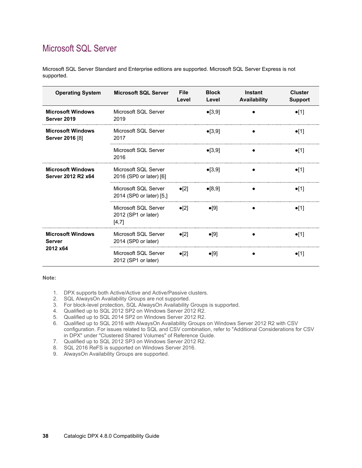## <span id="page-37-0"></span>Microsoft SQL Server

Microsoft SQL Server Standard and Enterprise editions are supported. Microsoft SQL Server Express is not supported.

| <b>Operating System</b>                               | <b>Microsoft SQL Server</b>                          | <b>File</b><br>Level | <b>Block</b><br>Level | Instant<br><b>Availability</b> | <b>Cluster</b><br><b>Support</b> |
|-------------------------------------------------------|------------------------------------------------------|----------------------|-----------------------|--------------------------------|----------------------------------|
| <b>Microsoft Windows</b><br>Server 2019               | Microsoft SQL Server<br>2019                         |                      | $\bullet$ [3,9]       |                                | $\bullet$ [1]                    |
| <b>Microsoft Windows</b><br>Server 2016 [8]           | Microsoft SQL Server<br>2017                         |                      | $\bullet$ [3,9]       |                                | $\bullet$ [1]                    |
|                                                       | Microsoft SQL Server<br>2016                         |                      | $\bullet$ [3,9]       |                                | $\bullet$ [1]                    |
| <b>Microsoft Windows</b><br>Server 2012 R2 x64        | Microsoft SOI Server<br>2016 (SP0 or later) [6]      |                      | $\bullet$ [3,9]       |                                | $\bullet$ [1]                    |
|                                                       | Microsoft SQL Server<br>2014 (SP0 or later) [5,]     | $\bullet$ [2]        | $\bullet$ [8,9]       |                                | $\bullet$ [1]                    |
|                                                       | Microsoft SQL Server<br>2012 (SP1 or later)<br>[4,7] | $\bullet$ [2]        | $\bullet$ [9]         |                                | $\bullet$ [1]                    |
| <b>Microsoft Windows</b><br><b>Server</b><br>2012 x64 | Microsoft SQL Server<br>2014 (SP0 or later)          | $\bullet$ [2]        | $\bullet$ [9]         |                                | $\bullet$ [1]                    |
|                                                       | Microsoft SQL Server<br>2012 (SP1 or later)          | $\bullet$ [2]        | $\bullet$ [9]         |                                | $\bullet$ [1]                    |

- 1. DPX supports both Active/Active and Active/Passive clusters.
- 2. SQL AlwaysOn Availability Groups are not supported.
- 3. For block-level protection, SQL AlwaysOn Availability Groups is supported.
- 4. Qualified up to SQL 2012 SP2 on Windows Server 2012 R2.
- 5. Qualified up to SQL 2014 SP2 on Windows Server 2012 R2.
- 6. Qualified up to SQL 2016 with AlwaysOn Availability Groups on Windows Server 2012 R2 with CSV configuration. For issues related to SQL and CSV combination, refer to "Additional Considerations for CSV in DPX" under "Clustered Shared Volumes" of Reference Guide.
- 7. Qualified up to SQL 2012 SP3 on Windows Server 2012 R2.
- 8. SQL 2016 ReFS is supported on Windows Server 2016.
- 9. AlwaysOn Availability Groups are supported.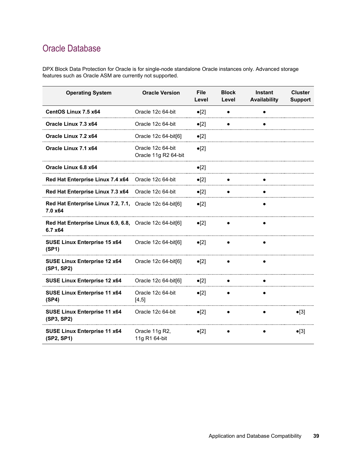# <span id="page-38-0"></span>Oracle Database

DPX Block Data Protection for Oracle is for single-node standalone Oracle instances only. Advanced storage features such as Oracle ASM are currently not supported.

| <b>Operating System</b>                                            | <b>Oracle Version</b>                     | <b>File</b><br>Level | <b>Block</b><br>Level | <b>Instant</b><br><b>Availability</b> | <b>Cluster</b><br><b>Support</b> |
|--------------------------------------------------------------------|-------------------------------------------|----------------------|-----------------------|---------------------------------------|----------------------------------|
| CentOS Linux 7.5 x64                                               | Oracle 12c 64-bit                         | $\bullet$ [2]        |                       |                                       |                                  |
| Oracle Linux 7.3 x64                                               | Oracle 12c 64-bit                         | $\bullet$ [2]        |                       |                                       |                                  |
| Oracle Linux 7.2 x64                                               | Oracle 12c 64-bit[6]                      | $\bullet$ [2]        |                       |                                       |                                  |
| Oracle Linux 7.1 x64                                               | Oracle 12c 64-bit<br>Oracle 11g R2 64-bit | $\bullet$ [2]        |                       |                                       |                                  |
| Oracle Linux 6.8 x64                                               |                                           | $\bullet$ [2]        |                       |                                       |                                  |
| Red Hat Enterprise Linux 7.4 x64                                   | Oracle 12c 64-bit                         | $\bullet$ [2]        |                       |                                       |                                  |
| Red Hat Enterprise Linux 7.3 x64                                   | Oracle 12c 64-bit                         | $\bullet$ [2]        |                       |                                       |                                  |
| Red Hat Enterprise Linux 7.2, 7.1, Oracle 12c 64-bit[6]<br>7.0 x64 |                                           | $\bullet$ [2]        |                       |                                       |                                  |
| Red Hat Enterprise Linux 6.9, 6.8, Oracle 12c 64-bit[6]<br>6.7 x64 |                                           | $\bullet$ [2]        |                       |                                       |                                  |
| SUSE Linux Enterprise 15 x64<br>(SP1)                              | Oracle 12c 64-bit[6]                      | $\bullet$ [2]        |                       |                                       |                                  |
| <b>SUSE Linux Enterprise 12 x64</b><br>(SP1, SP2)                  | Oracle 12c 64-bit[6]                      | $\bullet$ [2]        |                       |                                       |                                  |
| SUSE Linux Enterprise 12 x64                                       | Oracle 12c 64-bit[6]                      | $\bullet$ [2]        |                       |                                       |                                  |
| <b>SUSE Linux Enterprise 11 x64</b><br>(SP4)                       | Oracle 12c 64-bit<br>[4, 5]               | $\bullet$ [2]        |                       |                                       |                                  |
| <b>SUSE Linux Enterprise 11 x64</b><br>(SP3, SP2)                  | Oracle 12c 64-bit                         | $\bullet$ [2]        |                       |                                       | $\bullet$ [3]                    |
| <b>SUSE Linux Enterprise 11 x64</b><br>(SP2, SP1)                  | Oracle 11g R2,<br>11g R1 64-bit           | $\bullet$ [2]        |                       |                                       | $\bullet$ [3]                    |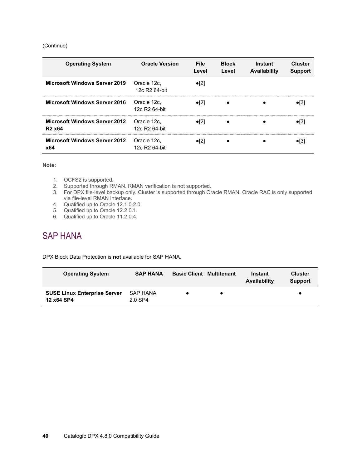#### (Continue)

| <b>Operating System</b>                                                | <b>Oracle Version</b>                    | <b>File</b><br>Level | <b>Block</b><br>Level | Instant<br>Availability | <b>Cluster</b><br><b>Support</b> |
|------------------------------------------------------------------------|------------------------------------------|----------------------|-----------------------|-------------------------|----------------------------------|
| <b>Microsoft Windows Server 2019</b>                                   | Oracle 12c,<br>12c R <sub>2</sub> 64-bit | $\bullet$ [2]        |                       |                         |                                  |
| <b>Microsoft Windows Server 2016</b>                                   | Oracle 12c.<br>12c R <sub>2</sub> 64-bit | $\bullet$ [2]        |                       |                         |                                  |
| <b>Microsoft Windows Server 2012</b><br>R <sub>2</sub> x <sub>64</sub> | Oracle 12c.<br>12c R <sub>2</sub> 64-bit | $\bullet$ [2]        |                       |                         |                                  |
| <b>Microsoft Windows Server 2012</b><br>x64                            | Oracle 12c.<br>$12c$ R $264$ -bit        | $\bullet$ [2]        |                       |                         |                                  |

#### **Note:**

- 1. OCFS2 is supported.
- 2. Supported through RMAN. RMAN verification is not supported.
- 3. For DPX file-level backup only. Cluster is supported through Oracle RMAN. Oracle RAC is only supported via file-level RMAN interface.
- 4. Qualified up to Oracle 12.1.0.2.0.
- 5. Qualified up to Oracle 12.2.0.1.
- 6. Qualified up to Oracle 11.2.0.4.

## <span id="page-39-0"></span>SAP HANA

DPX Block Data Protection is **not** available for SAP HANA.

| <b>Operating System</b>                           | <b>SAP HANA</b>     | <b>Basic Client Multitenant</b> | Instant<br>Availability | <b>Cluster</b><br><b>Support</b> |
|---------------------------------------------------|---------------------|---------------------------------|-------------------------|----------------------------------|
| <b>SUSE Linux Enterprise Server</b><br>12 x64 SP4 | SAP HANA<br>2.0 SP4 |                                 |                         |                                  |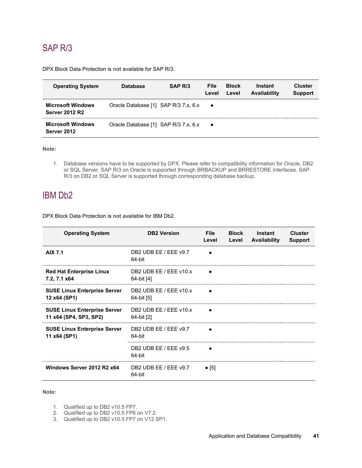## <span id="page-40-0"></span>SAP R/3

DPX Block Data Protection is **not** available for SAP R/3.

| <b>Operating System</b>                           | <b>Database</b>                      | SAP R/3 | File<br>Level | <b>Block</b><br>Level | Instant<br>Availability | <b>Cluster</b><br><b>Support</b> |
|---------------------------------------------------|--------------------------------------|---------|---------------|-----------------------|-------------------------|----------------------------------|
| <b>Microsoft Windows</b><br><b>Server 2012 R2</b> | Oracle Database [1] SAP R/3 7.x, 6.x |         | $\bullet$     |                       |                         |                                  |
| <b>Microsoft Windows</b><br>Server 2012           | Oracle Database [1] SAP R/3 7.x, 6.x |         | $\bullet$     |                       |                         |                                  |

**Note:**

1. Database versions have to be supported by DPX. Please refer to compatibility information for Oracle, DB2 or SQL Server. SAP R/3 on Oracle is supported through BRBACKUP and BRRESTORE interfaces. SAP R/3 on DB2 or SQL Server is supported through corresponding database backup.

### <span id="page-40-1"></span>IBM Db2

DPX Block Data Protection is **not** available for IBM Db2.

| <b>Operating System</b>                                       | <b>DB2 Version</b>                   | <b>File</b><br>Level | <b>Block</b><br>Level | Instant<br>Availability | Cluster<br><b>Support</b> |
|---------------------------------------------------------------|--------------------------------------|----------------------|-----------------------|-------------------------|---------------------------|
| <b>AIX 7.1</b>                                                | DB2 UDB EE / EEE v9.7<br>64-bit      |                      |                       |                         |                           |
| <b>Red Hat Enterprise Linux</b><br>7.2, 7.1 x64               | DB2 UDB EE / EEE v10.x<br>64-bit [4] |                      |                       |                         |                           |
| <b>SUSE Linux Enterprise Server</b><br>12 x64 (SP1)           | DB2 UDB EE / EEE v10.x<br>64-bit [5] |                      |                       |                         |                           |
| <b>SUSE Linux Enterprise Server</b><br>11 x64 (SP4, SP3, SP2) | DB2 UDB EE / EEE v10.x<br>64-bit [2] |                      |                       |                         |                           |
| <b>SUSE Linux Enterprise Server</b><br>11 x64 (SP1)           | DB2 UDB EE / EEE v9.7<br>64-bit      |                      |                       |                         |                           |
|                                                               | DB2 UDB EE / EEE v9.5<br>64-bit      |                      |                       |                         |                           |
| Windows Server 2012 R2 x64                                    | DB2 UDB EE / EEE v9.7<br>64-bit      | $\bullet$ [5]        |                       |                         |                           |

- 1. Qualified up to DB2 v10.5 FP7.
- 2. Qualified up to DB2 v10.5 FP6 on V7.2.
- 3. Qualified up to DB2 v10.5 FP7 on V12 SP1.